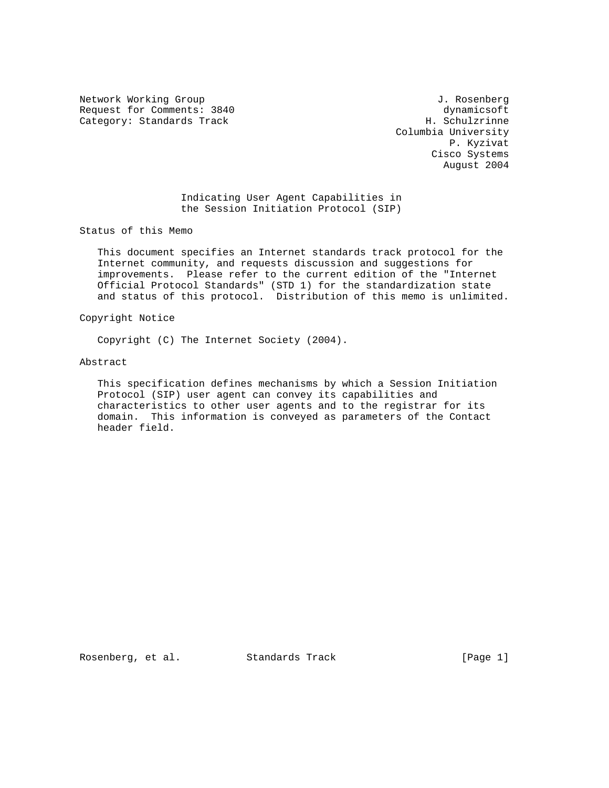Network Working Group and Section 1. Rosenberg J. Rosenberg Request for Comments: 3840 dynamicsoft dynamicsoft dynamicsoft dynamicsoft dynamicsoft dynamicsoft dynamicsoft  $\alpha$ Category: Standards Track

 Columbia University P. Kyzivat Cisco Systems August 2004

 Indicating User Agent Capabilities in the Session Initiation Protocol (SIP)

Status of this Memo

 This document specifies an Internet standards track protocol for the Internet community, and requests discussion and suggestions for improvements. Please refer to the current edition of the "Internet Official Protocol Standards" (STD 1) for the standardization state and status of this protocol. Distribution of this memo is unlimited.

Copyright Notice

Copyright (C) The Internet Society (2004).

Abstract

 This specification defines mechanisms by which a Session Initiation Protocol (SIP) user agent can convey its capabilities and characteristics to other user agents and to the registrar for its domain. This information is conveyed as parameters of the Contact header field.

Rosenberg, et al. Standards Track [Page 1]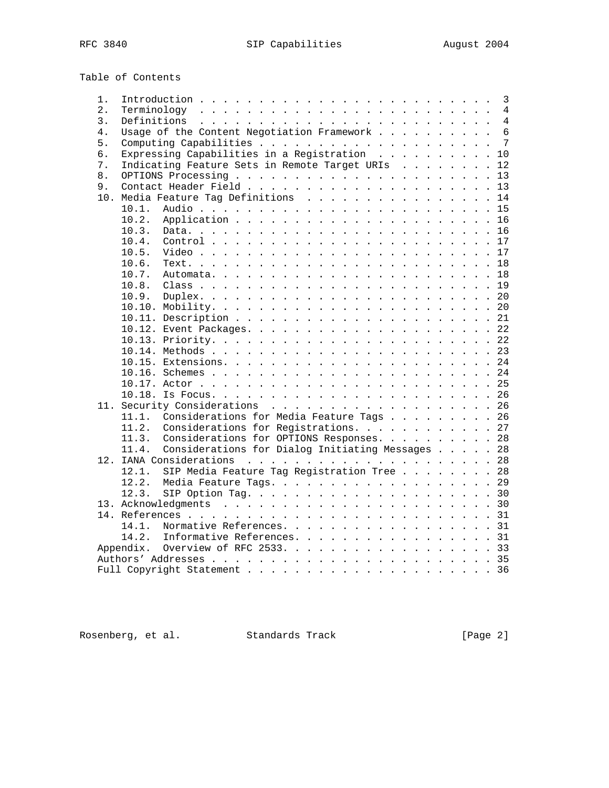Table of Contents

| 1.  |           |                                                  |  |  |  |  | 3              |
|-----|-----------|--------------------------------------------------|--|--|--|--|----------------|
| 2.  |           |                                                  |  |  |  |  | 4              |
| 3.  |           |                                                  |  |  |  |  | $\overline{4}$ |
| 4.  |           | Usage of the Content Negotiation Framework       |  |  |  |  | 6              |
| 5.  |           |                                                  |  |  |  |  | 7              |
| б.  |           | Expressing Capabilities in a Registration        |  |  |  |  | 10             |
| 7.  |           | Indicating Feature Sets in Remote Target URIs    |  |  |  |  | 12             |
| 8.  |           |                                                  |  |  |  |  | 13             |
| 9.  |           |                                                  |  |  |  |  | 13             |
| 10. |           | Media Feature Tag Definitions 14                 |  |  |  |  |                |
|     | 10.1.     |                                                  |  |  |  |  | 15             |
|     | 10.2.     |                                                  |  |  |  |  | 16             |
|     | 10.3.     |                                                  |  |  |  |  | 16             |
|     | 10.4.     |                                                  |  |  |  |  | 17             |
|     | 10.5.     |                                                  |  |  |  |  |                |
|     | 10.6.     |                                                  |  |  |  |  | 18             |
|     | 10.7.     |                                                  |  |  |  |  |                |
|     | 10.8.     |                                                  |  |  |  |  | 19             |
|     | 10.9.     |                                                  |  |  |  |  | 20             |
|     |           |                                                  |  |  |  |  |                |
|     |           |                                                  |  |  |  |  |                |
|     |           |                                                  |  |  |  |  |                |
|     |           |                                                  |  |  |  |  |                |
|     |           |                                                  |  |  |  |  |                |
|     |           |                                                  |  |  |  |  |                |
|     |           |                                                  |  |  |  |  |                |
|     |           |                                                  |  |  |  |  |                |
|     |           |                                                  |  |  |  |  | 26             |
|     |           | 11. Security Considerations 26                   |  |  |  |  |                |
|     | 11.1.     | Considerations for Media Feature Tags 26         |  |  |  |  |                |
|     | 11.2.     | Considerations for Registrations. 27             |  |  |  |  |                |
|     | 11.3.     | Considerations for OPTIONS Responses. 28         |  |  |  |  |                |
|     | 11.4.     | Considerations for Dialog Initiating Messages 28 |  |  |  |  |                |
|     |           |                                                  |  |  |  |  |                |
|     | 12.1.     | SIP Media Feature Tag Registration Tree 28       |  |  |  |  |                |
|     | 12.2.     | Media Feature Tags. 29                           |  |  |  |  |                |
|     | 12.3.     |                                                  |  |  |  |  |                |
|     |           |                                                  |  |  |  |  |                |
|     |           |                                                  |  |  |  |  |                |
|     | 14.1.     | Normative References. 31                         |  |  |  |  |                |
|     | 14.2.     | Informative References. 31                       |  |  |  |  |                |
|     | Appendix. | Overview of RFC 2533. 33                         |  |  |  |  |                |
|     |           |                                                  |  |  |  |  |                |
|     |           | Full Copyright Statement                         |  |  |  |  | 36             |
|     |           |                                                  |  |  |  |  |                |

Rosenberg, et al. Standards Track [Page 2]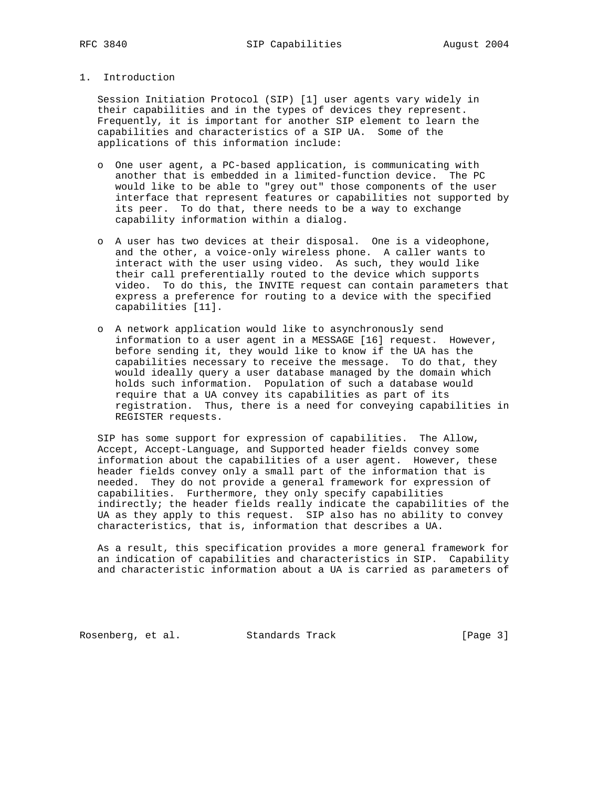# 1. Introduction

 Session Initiation Protocol (SIP) [1] user agents vary widely in their capabilities and in the types of devices they represent. Frequently, it is important for another SIP element to learn the capabilities and characteristics of a SIP UA. Some of the applications of this information include:

- o One user agent, a PC-based application, is communicating with another that is embedded in a limited-function device. The PC would like to be able to "grey out" those components of the user interface that represent features or capabilities not supported by its peer. To do that, there needs to be a way to exchange capability information within a dialog.
- o A user has two devices at their disposal. One is a videophone, and the other, a voice-only wireless phone. A caller wants to interact with the user using video. As such, they would like their call preferentially routed to the device which supports video. To do this, the INVITE request can contain parameters that express a preference for routing to a device with the specified capabilities [11].
- o A network application would like to asynchronously send information to a user agent in a MESSAGE [16] request. However, before sending it, they would like to know if the UA has the capabilities necessary to receive the message. To do that, they would ideally query a user database managed by the domain which holds such information. Population of such a database would require that a UA convey its capabilities as part of its registration. Thus, there is a need for conveying capabilities in REGISTER requests.

 SIP has some support for expression of capabilities. The Allow, Accept, Accept-Language, and Supported header fields convey some information about the capabilities of a user agent. However, these header fields convey only a small part of the information that is needed. They do not provide a general framework for expression of capabilities. Furthermore, they only specify capabilities indirectly; the header fields really indicate the capabilities of the UA as they apply to this request. SIP also has no ability to convey characteristics, that is, information that describes a UA.

 As a result, this specification provides a more general framework for an indication of capabilities and characteristics in SIP. Capability and characteristic information about a UA is carried as parameters of

Rosenberg, et al. Standards Track [Page 3]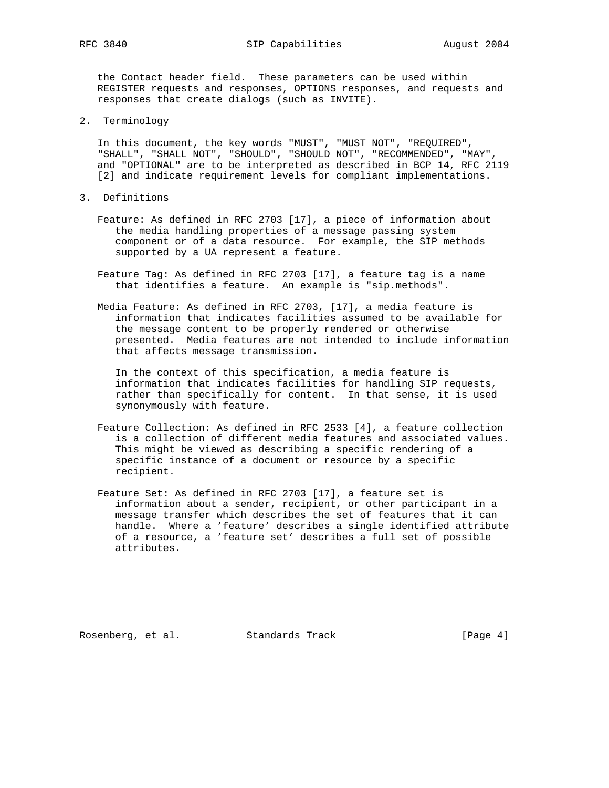the Contact header field. These parameters can be used within REGISTER requests and responses, OPTIONS responses, and requests and responses that create dialogs (such as INVITE).

2. Terminology

 In this document, the key words "MUST", "MUST NOT", "REQUIRED", "SHALL", "SHALL NOT", "SHOULD", "SHOULD NOT", "RECOMMENDED", "MAY", and "OPTIONAL" are to be interpreted as described in BCP 14, RFC 2119 [2] and indicate requirement levels for compliant implementations.

- 3. Definitions
	- Feature: As defined in RFC 2703 [17], a piece of information about the media handling properties of a message passing system component or of a data resource. For example, the SIP methods supported by a UA represent a feature.
	- Feature Tag: As defined in RFC 2703 [17], a feature tag is a name that identifies a feature. An example is "sip.methods".
	- Media Feature: As defined in RFC 2703, [17], a media feature is information that indicates facilities assumed to be available for the message content to be properly rendered or otherwise presented. Media features are not intended to include information that affects message transmission.

 In the context of this specification, a media feature is information that indicates facilities for handling SIP requests, rather than specifically for content. In that sense, it is used synonymously with feature.

- Feature Collection: As defined in RFC 2533 [4], a feature collection is a collection of different media features and associated values. This might be viewed as describing a specific rendering of a specific instance of a document or resource by a specific recipient.
- Feature Set: As defined in RFC 2703 [17], a feature set is information about a sender, recipient, or other participant in a message transfer which describes the set of features that it can handle. Where a 'feature' describes a single identified attribute of a resource, a 'feature set' describes a full set of possible attributes.

Rosenberg, et al. Standards Track [Page 4]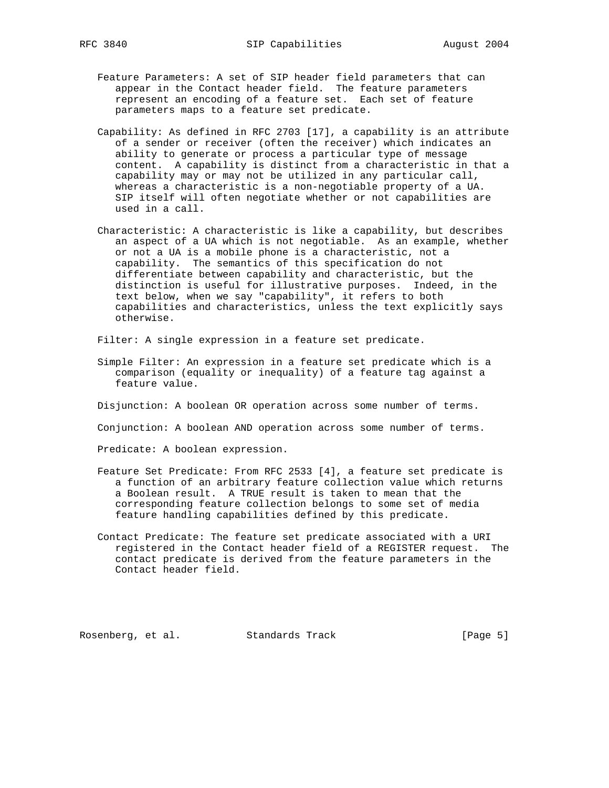- Feature Parameters: A set of SIP header field parameters that can appear in the Contact header field. The feature parameters represent an encoding of a feature set. Each set of feature parameters maps to a feature set predicate.
- Capability: As defined in RFC 2703 [17], a capability is an attribute of a sender or receiver (often the receiver) which indicates an ability to generate or process a particular type of message content. A capability is distinct from a characteristic in that a capability may or may not be utilized in any particular call, whereas a characteristic is a non-negotiable property of a UA. SIP itself will often negotiate whether or not capabilities are used in a call.
- Characteristic: A characteristic is like a capability, but describes an aspect of a UA which is not negotiable. As an example, whether or not a UA is a mobile phone is a characteristic, not a capability. The semantics of this specification do not differentiate between capability and characteristic, but the distinction is useful for illustrative purposes. Indeed, in the text below, when we say "capability", it refers to both capabilities and characteristics, unless the text explicitly says otherwise.

Filter: A single expression in a feature set predicate.

 Simple Filter: An expression in a feature set predicate which is a comparison (equality or inequality) of a feature tag against a feature value.

Disjunction: A boolean OR operation across some number of terms.

Conjunction: A boolean AND operation across some number of terms.

Predicate: A boolean expression.

- Feature Set Predicate: From RFC 2533 [4], a feature set predicate is a function of an arbitrary feature collection value which returns a Boolean result. A TRUE result is taken to mean that the corresponding feature collection belongs to some set of media feature handling capabilities defined by this predicate.
- Contact Predicate: The feature set predicate associated with a URI registered in the Contact header field of a REGISTER request. The contact predicate is derived from the feature parameters in the Contact header field.

Rosenberg, et al. Standards Track [Page 5]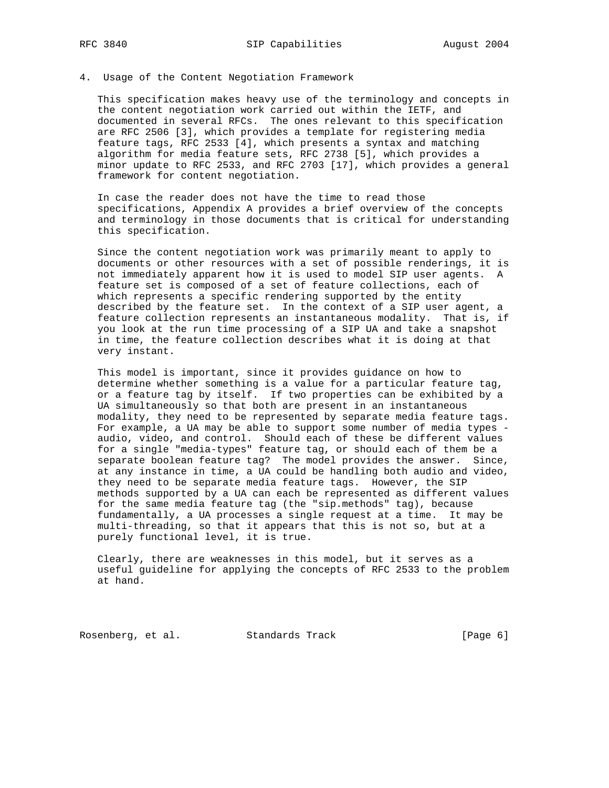### 4. Usage of the Content Negotiation Framework

 This specification makes heavy use of the terminology and concepts in the content negotiation work carried out within the IETF, and documented in several RFCs. The ones relevant to this specification are RFC 2506 [3], which provides a template for registering media feature tags, RFC 2533 [4], which presents a syntax and matching algorithm for media feature sets, RFC 2738 [5], which provides a minor update to RFC 2533, and RFC 2703 [17], which provides a general framework for content negotiation.

 In case the reader does not have the time to read those specifications, Appendix A provides a brief overview of the concepts and terminology in those documents that is critical for understanding this specification.

 Since the content negotiation work was primarily meant to apply to documents or other resources with a set of possible renderings, it is not immediately apparent how it is used to model SIP user agents. A feature set is composed of a set of feature collections, each of which represents a specific rendering supported by the entity described by the feature set. In the context of a SIP user agent, a feature collection represents an instantaneous modality. That is, if you look at the run time processing of a SIP UA and take a snapshot in time, the feature collection describes what it is doing at that very instant.

 This model is important, since it provides guidance on how to determine whether something is a value for a particular feature tag, or a feature tag by itself. If two properties can be exhibited by a UA simultaneously so that both are present in an instantaneous modality, they need to be represented by separate media feature tags. For example, a UA may be able to support some number of media types audio, video, and control. Should each of these be different values for a single "media-types" feature tag, or should each of them be a separate boolean feature tag? The model provides the answer. Since, at any instance in time, a UA could be handling both audio and video, they need to be separate media feature tags. However, the SIP methods supported by a UA can each be represented as different values for the same media feature tag (the "sip.methods" tag), because fundamentally, a UA processes a single request at a time. It may be multi-threading, so that it appears that this is not so, but at a purely functional level, it is true.

 Clearly, there are weaknesses in this model, but it serves as a useful guideline for applying the concepts of RFC 2533 to the problem at hand.

Rosenberg, et al. Standards Track [Page 6]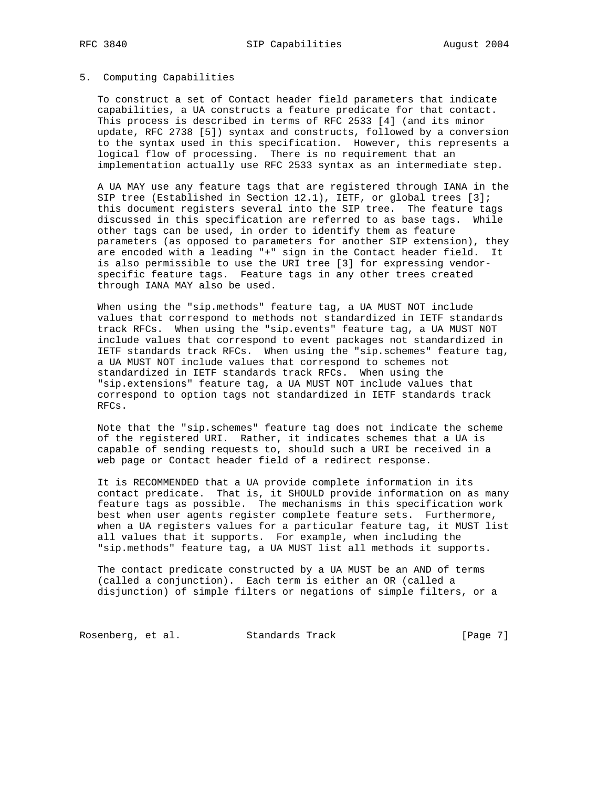#### 5. Computing Capabilities

 To construct a set of Contact header field parameters that indicate capabilities, a UA constructs a feature predicate for that contact. This process is described in terms of RFC 2533 [4] (and its minor update, RFC 2738 [5]) syntax and constructs, followed by a conversion to the syntax used in this specification. However, this represents a logical flow of processing. There is no requirement that an implementation actually use RFC 2533 syntax as an intermediate step.

 A UA MAY use any feature tags that are registered through IANA in the SIP tree (Established in Section 12.1), IETF, or global trees [3]; this document registers several into the SIP tree. The feature tags discussed in this specification are referred to as base tags. While other tags can be used, in order to identify them as feature parameters (as opposed to parameters for another SIP extension), they are encoded with a leading "+" sign in the Contact header field. It is also permissible to use the URI tree [3] for expressing vendor specific feature tags. Feature tags in any other trees created through IANA MAY also be used.

 When using the "sip.methods" feature tag, a UA MUST NOT include values that correspond to methods not standardized in IETF standards track RFCs. When using the "sip.events" feature tag, a UA MUST NOT include values that correspond to event packages not standardized in IETF standards track RFCs. When using the "sip.schemes" feature tag, a UA MUST NOT include values that correspond to schemes not standardized in IETF standards track RFCs. When using the "sip.extensions" feature tag, a UA MUST NOT include values that correspond to option tags not standardized in IETF standards track RFCs.

 Note that the "sip.schemes" feature tag does not indicate the scheme of the registered URI. Rather, it indicates schemes that a UA is capable of sending requests to, should such a URI be received in a web page or Contact header field of a redirect response.

 It is RECOMMENDED that a UA provide complete information in its contact predicate. That is, it SHOULD provide information on as many feature tags as possible. The mechanisms in this specification work best when user agents register complete feature sets. Furthermore, when a UA registers values for a particular feature tag, it MUST list all values that it supports. For example, when including the "sip.methods" feature tag, a UA MUST list all methods it supports.

 The contact predicate constructed by a UA MUST be an AND of terms (called a conjunction). Each term is either an OR (called a disjunction) of simple filters or negations of simple filters, or a

Rosenberg, et al. Standards Track [Page 7]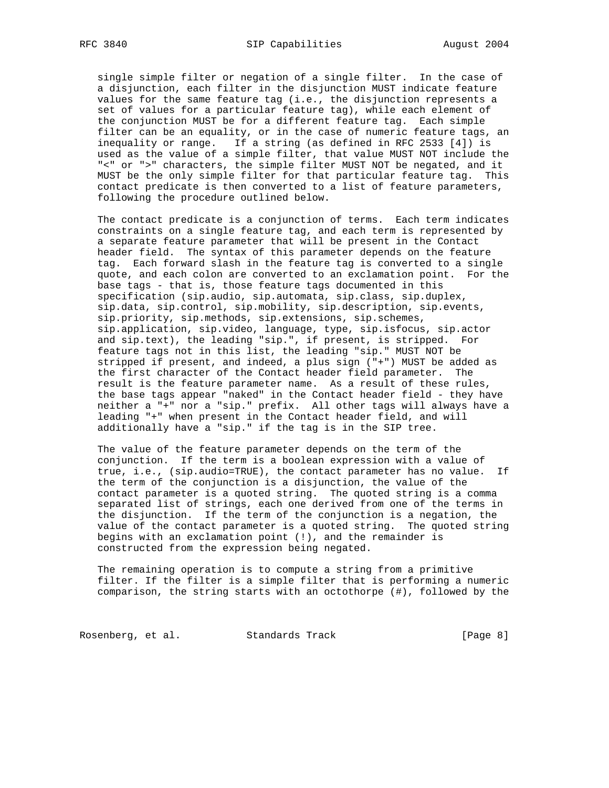single simple filter or negation of a single filter. In the case of a disjunction, each filter in the disjunction MUST indicate feature values for the same feature tag (i.e., the disjunction represents a set of values for a particular feature tag), while each element of the conjunction MUST be for a different feature tag. Each simple filter can be an equality, or in the case of numeric feature tags, an inequality or range. If a string (as defined in RFC 2533 [4]) is used as the value of a simple filter, that value MUST NOT include the "<" or ">" characters, the simple filter MUST NOT be negated, and it MUST be the only simple filter for that particular feature tag. This contact predicate is then converted to a list of feature parameters, following the procedure outlined below.

 The contact predicate is a conjunction of terms. Each term indicates constraints on a single feature tag, and each term is represented by a separate feature parameter that will be present in the Contact header field. The syntax of this parameter depends on the feature tag. Each forward slash in the feature tag is converted to a single quote, and each colon are converted to an exclamation point. For the base tags - that is, those feature tags documented in this specification (sip.audio, sip.automata, sip.class, sip.duplex, sip.data, sip.control, sip.mobility, sip.description, sip.events, sip.priority, sip.methods, sip.extensions, sip.schemes, sip.application, sip.video, language, type, sip.isfocus, sip.actor and sip.text), the leading "sip.", if present, is stripped. For feature tags not in this list, the leading "sip." MUST NOT be stripped if present, and indeed, a plus sign ("+") MUST be added as the first character of the Contact header field parameter. The result is the feature parameter name. As a result of these rules, the base tags appear "naked" in the Contact header field - they have neither a "+" nor a "sip." prefix. All other tags will always have a leading "+" when present in the Contact header field, and will additionally have a "sip." if the tag is in the SIP tree.

 The value of the feature parameter depends on the term of the conjunction. If the term is a boolean expression with a value of true, i.e., (sip.audio=TRUE), the contact parameter has no value. If the term of the conjunction is a disjunction, the value of the contact parameter is a quoted string. The quoted string is a comma separated list of strings, each one derived from one of the terms in the disjunction. If the term of the conjunction is a negation, the value of the contact parameter is a quoted string. The quoted string begins with an exclamation point (!), and the remainder is constructed from the expression being negated.

 The remaining operation is to compute a string from a primitive filter. If the filter is a simple filter that is performing a numeric comparison, the string starts with an octothorpe (#), followed by the

Rosenberg, et al. Standards Track [Page 8]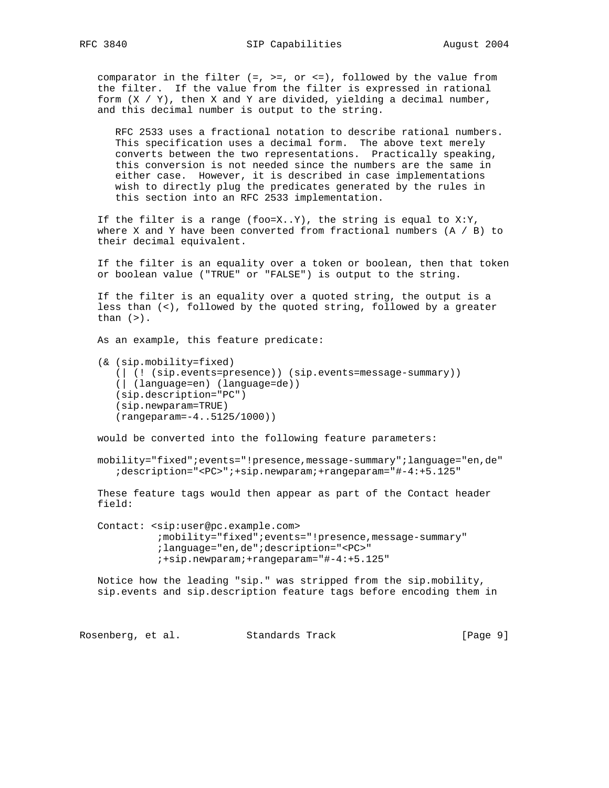comparator in the filter  $(=, >=, \text{ or } <-),$  followed by the value from the filter. If the value from the filter is expressed in rational form  $(X / Y)$ , then X and Y are divided, yielding a decimal number, and this decimal number is output to the string.

 RFC 2533 uses a fractional notation to describe rational numbers. This specification uses a decimal form. The above text merely converts between the two representations. Practically speaking, this conversion is not needed since the numbers are the same in either case. However, it is described in case implementations wish to directly plug the predicates generated by the rules in this section into an RFC 2533 implementation.

If the filter is a range (foo=X..Y), the string is equal to  $X:Y$ , where X and Y have been converted from fractional numbers  $(A / B)$  to their decimal equivalent.

 If the filter is an equality over a token or boolean, then that token or boolean value ("TRUE" or "FALSE") is output to the string.

 If the filter is an equality over a quoted string, the output is a less than (<), followed by the quoted string, followed by a greater than  $(>)$ .

As an example, this feature predicate:

 (& (sip.mobility=fixed) (| (! (sip.events=presence)) (sip.events=message-summary)) (| (language=en) (language=de)) (sip.description="PC") (sip.newparam=TRUE) (rangeparam=-4..5125/1000))

would be converted into the following feature parameters:

 mobility="fixed";events="!presence,message-summary";language="en,de" ;description="<PC>";+sip.newparam;+rangeparam="#-4:+5.125"

 These feature tags would then appear as part of the Contact header field:

 Contact: <sip:user@pc.example.com> ;mobility="fixed";events="!presence,message-summary" ;language="en,de";description="<PC>" ;+sip.newparam;+rangeparam="#-4:+5.125"

 Notice how the leading "sip." was stripped from the sip.mobility, sip.events and sip.description feature tags before encoding them in

Rosenberg, et al. Standards Track [Page 9]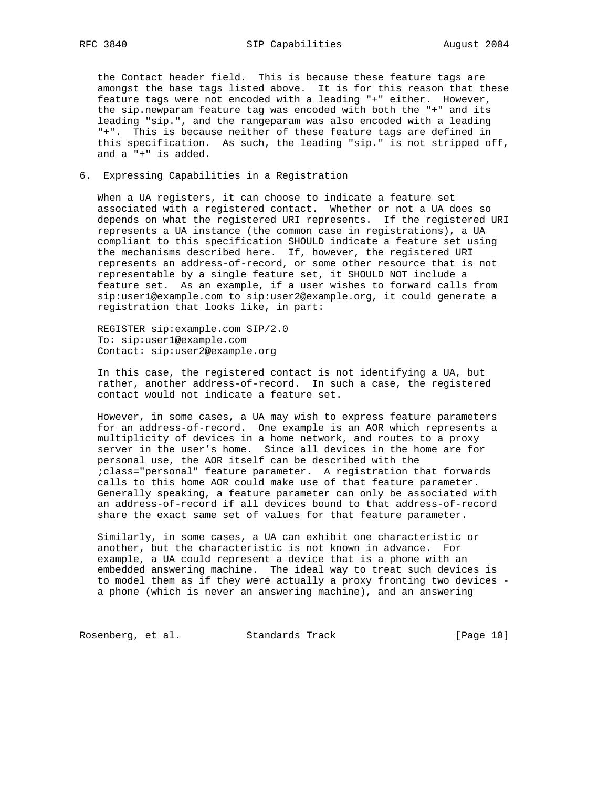the Contact header field. This is because these feature tags are amongst the base tags listed above. It is for this reason that these feature tags were not encoded with a leading "+" either. However, the sip.newparam feature tag was encoded with both the "+" and its leading "sip.", and the rangeparam was also encoded with a leading "+". This is because neither of these feature tags are defined in this specification. As such, the leading "sip." is not stripped off, and a "+" is added.

# 6. Expressing Capabilities in a Registration

 When a UA registers, it can choose to indicate a feature set associated with a registered contact. Whether or not a UA does so depends on what the registered URI represents. If the registered URI represents a UA instance (the common case in registrations), a UA compliant to this specification SHOULD indicate a feature set using the mechanisms described here. If, however, the registered URI represents an address-of-record, or some other resource that is not representable by a single feature set, it SHOULD NOT include a feature set. As an example, if a user wishes to forward calls from sip:user1@example.com to sip:user2@example.org, it could generate a registration that looks like, in part:

 REGISTER sip:example.com SIP/2.0 To: sip:user1@example.com Contact: sip:user2@example.org

 In this case, the registered contact is not identifying a UA, but rather, another address-of-record. In such a case, the registered contact would not indicate a feature set.

 However, in some cases, a UA may wish to express feature parameters for an address-of-record. One example is an AOR which represents a multiplicity of devices in a home network, and routes to a proxy server in the user's home. Since all devices in the home are for personal use, the AOR itself can be described with the ;class="personal" feature parameter. A registration that forwards calls to this home AOR could make use of that feature parameter. Generally speaking, a feature parameter can only be associated with an address-of-record if all devices bound to that address-of-record share the exact same set of values for that feature parameter.

 Similarly, in some cases, a UA can exhibit one characteristic or another, but the characteristic is not known in advance. For example, a UA could represent a device that is a phone with an embedded answering machine. The ideal way to treat such devices is to model them as if they were actually a proxy fronting two devices a phone (which is never an answering machine), and an answering

Rosenberg, et al. Standards Track [Page 10]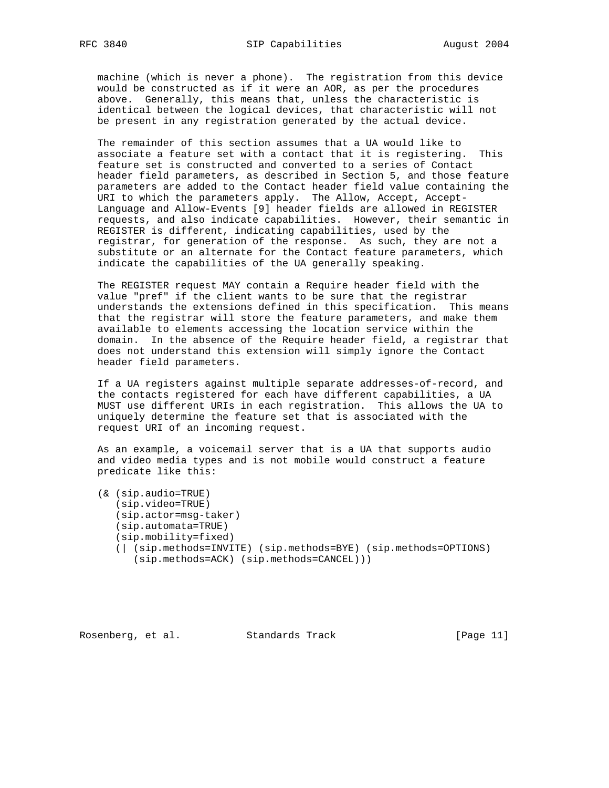machine (which is never a phone). The registration from this device would be constructed as if it were an AOR, as per the procedures above. Generally, this means that, unless the characteristic is identical between the logical devices, that characteristic will not be present in any registration generated by the actual device.

 The remainder of this section assumes that a UA would like to associate a feature set with a contact that it is registering. This feature set is constructed and converted to a series of Contact header field parameters, as described in Section 5, and those feature parameters are added to the Contact header field value containing the URI to which the parameters apply. The Allow, Accept, Accept- Language and Allow-Events [9] header fields are allowed in REGISTER requests, and also indicate capabilities. However, their semantic in REGISTER is different, indicating capabilities, used by the registrar, for generation of the response. As such, they are not a substitute or an alternate for the Contact feature parameters, which indicate the capabilities of the UA generally speaking.

 The REGISTER request MAY contain a Require header field with the value "pref" if the client wants to be sure that the registrar understands the extensions defined in this specification. This means that the registrar will store the feature parameters, and make them available to elements accessing the location service within the domain. In the absence of the Require header field, a registrar that does not understand this extension will simply ignore the Contact header field parameters.

 If a UA registers against multiple separate addresses-of-record, and the contacts registered for each have different capabilities, a UA MUST use different URIs in each registration. This allows the UA to uniquely determine the feature set that is associated with the request URI of an incoming request.

 As an example, a voicemail server that is a UA that supports audio and video media types and is not mobile would construct a feature predicate like this:

 (& (sip.audio=TRUE) (sip.video=TRUE) (sip.actor=msg-taker) (sip.automata=TRUE) (sip.mobility=fixed) (| (sip.methods=INVITE) (sip.methods=BYE) (sip.methods=OPTIONS) (sip.methods=ACK) (sip.methods=CANCEL)))

Rosenberg, et al. Standards Track [Page 11]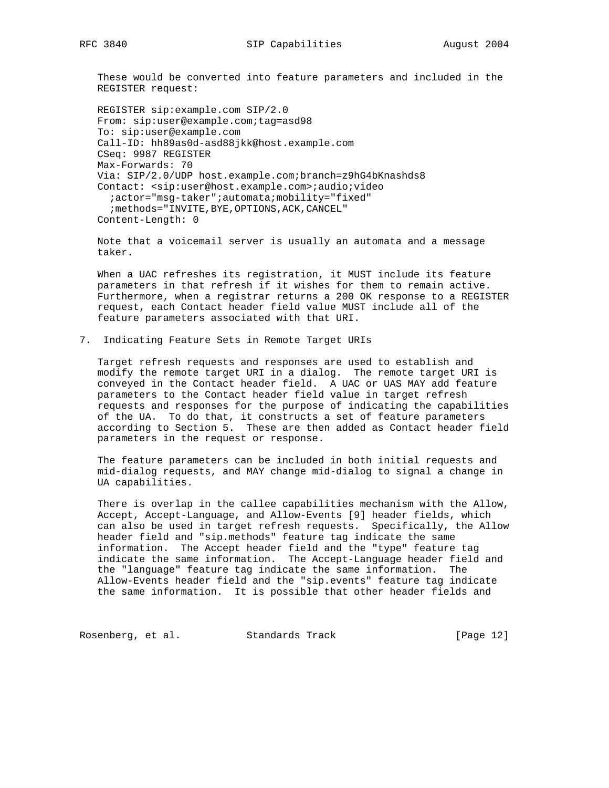These would be converted into feature parameters and included in the REGISTER request:

```
 REGISTER sip:example.com SIP/2.0
From: sip:user@example.com;tag=asd98
To: sip:user@example.com
Call-ID: hh89as0d-asd88jkk@host.example.com
CSeq: 9987 REGISTER
Max-Forwards: 70
Via: SIP/2.0/UDP host.example.com;branch=z9hG4bKnashds8
Contact: <sip:user@host.example.com>;audio;video
  ;actor="msg-taker";automata;mobility="fixed"
 ; methods="INVITE, BYE, OPTIONS, ACK, CANCEL"
Content-Length: 0
```
 Note that a voicemail server is usually an automata and a message taker.

 When a UAC refreshes its registration, it MUST include its feature parameters in that refresh if it wishes for them to remain active. Furthermore, when a registrar returns a 200 OK response to a REGISTER request, each Contact header field value MUST include all of the feature parameters associated with that URI.

7. Indicating Feature Sets in Remote Target URIs

 Target refresh requests and responses are used to establish and modify the remote target URI in a dialog. The remote target URI is conveyed in the Contact header field. A UAC or UAS MAY add feature parameters to the Contact header field value in target refresh requests and responses for the purpose of indicating the capabilities of the UA. To do that, it constructs a set of feature parameters according to Section 5. These are then added as Contact header field parameters in the request or response.

 The feature parameters can be included in both initial requests and mid-dialog requests, and MAY change mid-dialog to signal a change in UA capabilities.

 There is overlap in the callee capabilities mechanism with the Allow, Accept, Accept-Language, and Allow-Events [9] header fields, which can also be used in target refresh requests. Specifically, the Allow header field and "sip.methods" feature tag indicate the same information. The Accept header field and the "type" feature tag indicate the same information. The Accept-Language header field and the "language" feature tag indicate the same information. The Allow-Events header field and the "sip.events" feature tag indicate the same information. It is possible that other header fields and

Rosenberg, et al. Standards Track [Page 12]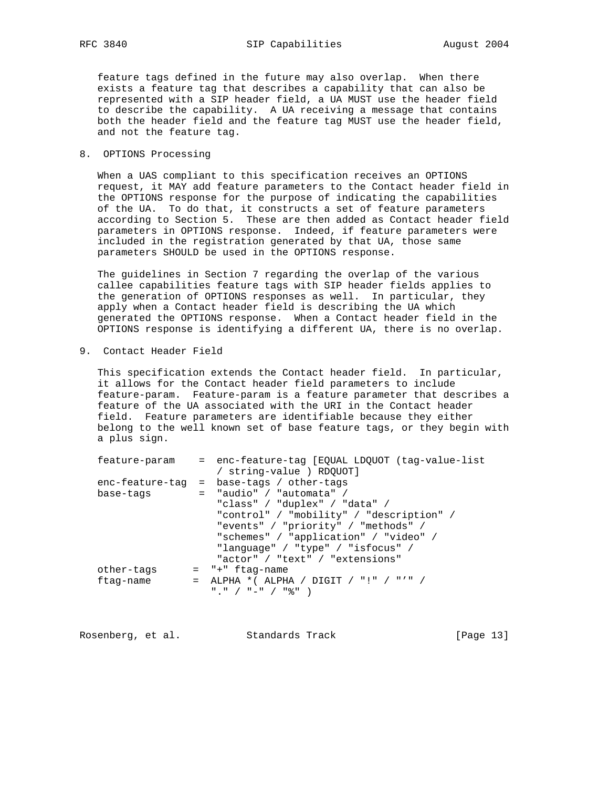feature tags defined in the future may also overlap. When there exists a feature tag that describes a capability that can also be represented with a SIP header field, a UA MUST use the header field to describe the capability. A UA receiving a message that contains both the header field and the feature tag MUST use the header field, and not the feature tag.

## 8. OPTIONS Processing

 When a UAS compliant to this specification receives an OPTIONS request, it MAY add feature parameters to the Contact header field in the OPTIONS response for the purpose of indicating the capabilities of the UA. To do that, it constructs a set of feature parameters according to Section 5. These are then added as Contact header field parameters in OPTIONS response. Indeed, if feature parameters were included in the registration generated by that UA, those same parameters SHOULD be used in the OPTIONS response.

 The guidelines in Section 7 regarding the overlap of the various callee capabilities feature tags with SIP header fields applies to the generation of OPTIONS responses as well. In particular, they apply when a Contact header field is describing the UA which generated the OPTIONS response. When a Contact header field in the OPTIONS response is identifying a different UA, there is no overlap.

9. Contact Header Field

 This specification extends the Contact header field. In particular, it allows for the Contact header field parameters to include feature-param. Feature-param is a feature parameter that describes a feature of the UA associated with the URI in the Contact header field. Feature parameters are identifiable because they either belong to the well known set of base feature tags, or they begin with a plus sign.

| feature-param   | = enc-feature-tag [EQUAL LDQUOT (tag-value-list |
|-----------------|-------------------------------------------------|
|                 | / string-value ) RDQUOT]                        |
| enc-feature-tag | = base-tags / other-tags                        |
| base-tags       | $=$ "audio" / "automata" /                      |
|                 | "class" / "duplex" / "data" /                   |
|                 | "control" / "mobility" / "description" /        |
|                 | "events" / "priority" / "methods" /             |
|                 | "schemes" / "application" / "video" /           |
|                 | "language" / "type" / "isfocus" /               |
|                 | "actor" / "text" / "extensions"                 |
| other-tags      | $=$ " $+$ " ftag-name                           |
| ftag-name       | = ALPHA *( ALPHA / DIGIT / "!" / "'" /          |
|                 | " " / " – " / "응" )                             |
|                 |                                                 |

Rosenberg, et al. Standards Track [Page 13]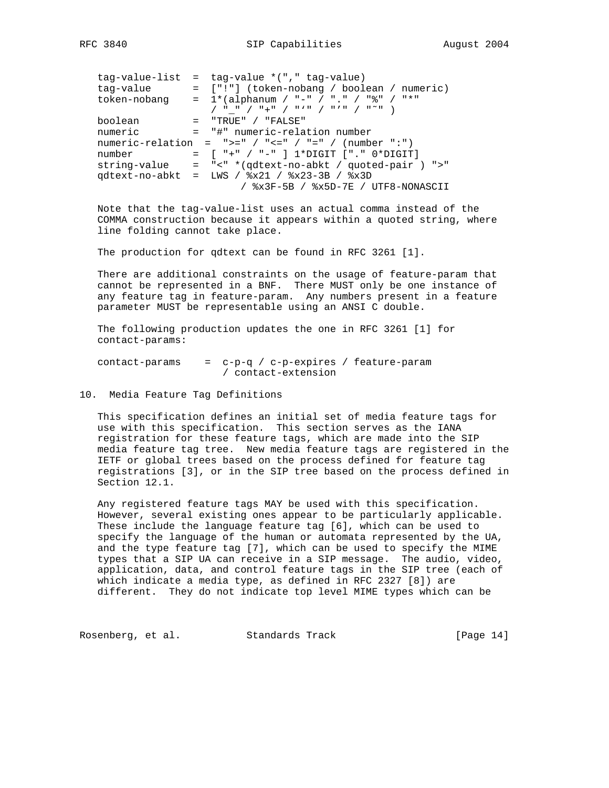| tag-value-list<br>tag-value<br>token-nobang | $=$ tag-value $*(", " tag-value)$<br>= ["!"] (token-nobang / boolean / numeric)<br>$= 1*(alphanum / "-" / "." ' "8" / "*"$ |
|---------------------------------------------|----------------------------------------------------------------------------------------------------------------------------|
| boolean                                     | $=$ "TRUE" / "FALSE"                                                                                                       |
| numeric                                     | = "#" numeric-relation number                                                                                              |
|                                             | numeric-relation = ">=" / "<=" / "=" / (number ":")                                                                        |
| number                                      | = [ "+" / "-" ] 1*DIGIT ["." 0*DIGIT]                                                                                      |
| string-value                                | = "<" *(qdtext-no-abkt / quoted-pair ) ">"                                                                                 |
| qdtext-no-abkt                              | = LWS / $x21$ / $x23-3B$ / $x3D$                                                                                           |
|                                             | / %x3F-5B / %x5D-7E / UTF8-NONASCII                                                                                        |

 Note that the tag-value-list uses an actual comma instead of the COMMA construction because it appears within a quoted string, where line folding cannot take place.

The production for qdtext can be found in RFC 3261 [1].

 There are additional constraints on the usage of feature-param that cannot be represented in a BNF. There MUST only be one instance of any feature tag in feature-param. Any numbers present in a feature parameter MUST be representable using an ANSI C double.

 The following production updates the one in RFC 3261 [1] for contact-params:

contact-params  $= c-p-q / c-p-expires / feature-param$ / contact-extension

10. Media Feature Tag Definitions

 This specification defines an initial set of media feature tags for use with this specification. This section serves as the IANA registration for these feature tags, which are made into the SIP media feature tag tree. New media feature tags are registered in the IETF or global trees based on the process defined for feature tag registrations [3], or in the SIP tree based on the process defined in Section 12.1.

 Any registered feature tags MAY be used with this specification. However, several existing ones appear to be particularly applicable. These include the language feature tag [6], which can be used to specify the language of the human or automata represented by the UA, and the type feature tag [7], which can be used to specify the MIME types that a SIP UA can receive in a SIP message. The audio, video, application, data, and control feature tags in the SIP tree (each of which indicate a media type, as defined in RFC 2327 [8]) are different. They do not indicate top level MIME types which can be

Rosenberg, et al. Standards Track [Page 14]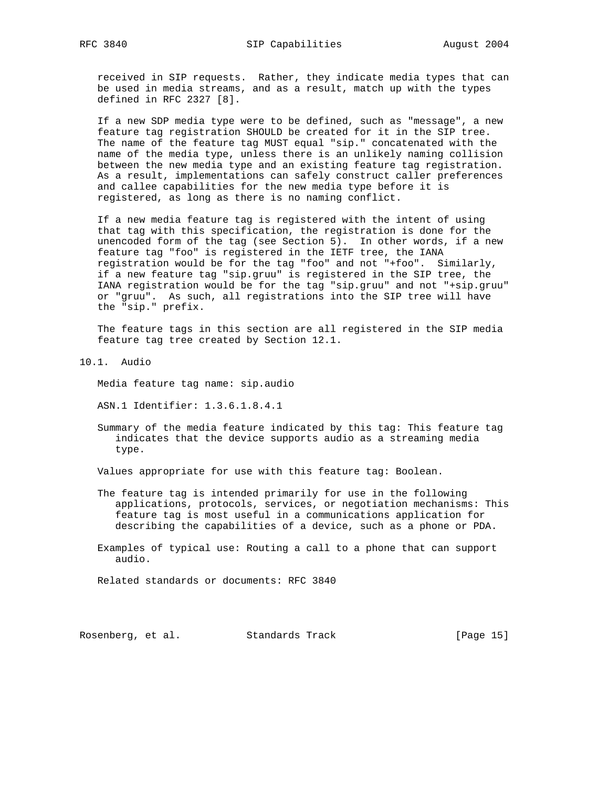received in SIP requests. Rather, they indicate media types that can be used in media streams, and as a result, match up with the types defined in RFC 2327 [8].

 If a new SDP media type were to be defined, such as "message", a new feature tag registration SHOULD be created for it in the SIP tree. The name of the feature tag MUST equal "sip." concatenated with the name of the media type, unless there is an unlikely naming collision between the new media type and an existing feature tag registration. As a result, implementations can safely construct caller preferences and callee capabilities for the new media type before it is registered, as long as there is no naming conflict.

 If a new media feature tag is registered with the intent of using that tag with this specification, the registration is done for the unencoded form of the tag (see Section 5). In other words, if a new feature tag "foo" is registered in the IETF tree, the IANA registration would be for the tag "foo" and not "+foo". Similarly, if a new feature tag "sip.gruu" is registered in the SIP tree, the IANA registration would be for the tag "sip.gruu" and not "+sip.gruu" or "gruu". As such, all registrations into the SIP tree will have the "sip." prefix.

 The feature tags in this section are all registered in the SIP media feature tag tree created by Section 12.1.

10.1. Audio

Media feature tag name: sip.audio

ASN.1 Identifier: 1.3.6.1.8.4.1

 Summary of the media feature indicated by this tag: This feature tag indicates that the device supports audio as a streaming media type.

Values appropriate for use with this feature tag: Boolean.

 The feature tag is intended primarily for use in the following applications, protocols, services, or negotiation mechanisms: This feature tag is most useful in a communications application for describing the capabilities of a device, such as a phone or PDA.

 Examples of typical use: Routing a call to a phone that can support audio.

Related standards or documents: RFC 3840

Rosenberg, et al. Standards Track [Page 15]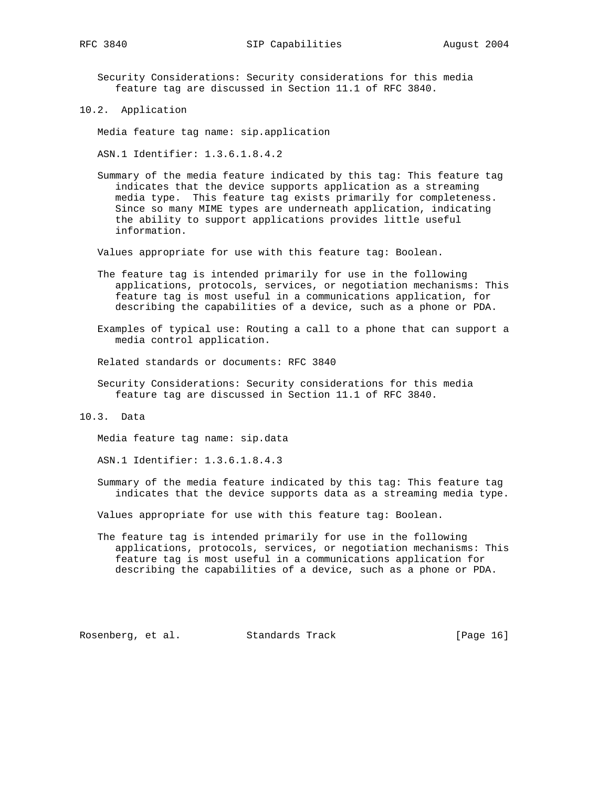Security Considerations: Security considerations for this media feature tag are discussed in Section 11.1 of RFC 3840.

10.2. Application

Media feature tag name: sip.application

ASN.1 Identifier: 1.3.6.1.8.4.2

 Summary of the media feature indicated by this tag: This feature tag indicates that the device supports application as a streaming media type. This feature tag exists primarily for completeness. Since so many MIME types are underneath application, indicating the ability to support applications provides little useful information.

Values appropriate for use with this feature tag: Boolean.

 The feature tag is intended primarily for use in the following applications, protocols, services, or negotiation mechanisms: This feature tag is most useful in a communications application, for describing the capabilities of a device, such as a phone or PDA.

 Examples of typical use: Routing a call to a phone that can support a media control application.

Related standards or documents: RFC 3840

 Security Considerations: Security considerations for this media feature tag are discussed in Section 11.1 of RFC 3840.

10.3. Data

Media feature tag name: sip.data

ASN.1 Identifier: 1.3.6.1.8.4.3

 Summary of the media feature indicated by this tag: This feature tag indicates that the device supports data as a streaming media type.

Values appropriate for use with this feature tag: Boolean.

 The feature tag is intended primarily for use in the following applications, protocols, services, or negotiation mechanisms: This feature tag is most useful in a communications application for describing the capabilities of a device, such as a phone or PDA.

Rosenberg, et al. Standards Track [Page 16]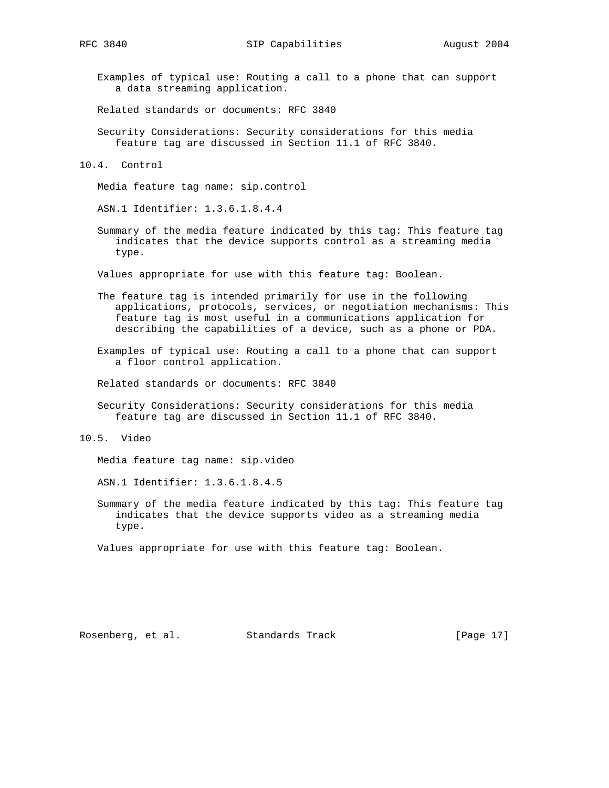Examples of typical use: Routing a call to a phone that can support a data streaming application.

Related standards or documents: RFC 3840

- Security Considerations: Security considerations for this media feature tag are discussed in Section 11.1 of RFC 3840.
- 10.4. Control

Media feature tag name: sip.control

ASN.1 Identifier: 1.3.6.1.8.4.4

 Summary of the media feature indicated by this tag: This feature tag indicates that the device supports control as a streaming media type.

Values appropriate for use with this feature tag: Boolean.

- The feature tag is intended primarily for use in the following applications, protocols, services, or negotiation mechanisms: This feature tag is most useful in a communications application for describing the capabilities of a device, such as a phone or PDA.
- Examples of typical use: Routing a call to a phone that can support a floor control application.

Related standards or documents: RFC 3840

 Security Considerations: Security considerations for this media feature tag are discussed in Section 11.1 of RFC 3840.

Media feature tag name: sip.video

ASN.1 Identifier: 1.3.6.1.8.4.5

 Summary of the media feature indicated by this tag: This feature tag indicates that the device supports video as a streaming media type.

Values appropriate for use with this feature tag: Boolean.

<sup>10.5.</sup> Video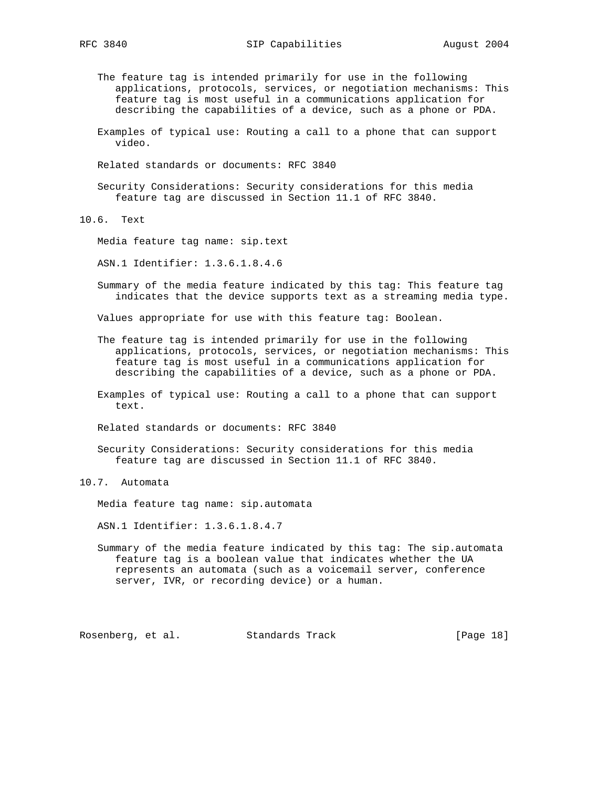- The feature tag is intended primarily for use in the following applications, protocols, services, or negotiation mechanisms: This feature tag is most useful in a communications application for describing the capabilities of a device, such as a phone or PDA.
- Examples of typical use: Routing a call to a phone that can support video.
- Related standards or documents: RFC 3840
- Security Considerations: Security considerations for this media feature tag are discussed in Section 11.1 of RFC 3840.

10.6. Text

Media feature tag name: sip.text

ASN.1 Identifier: 1.3.6.1.8.4.6

 Summary of the media feature indicated by this tag: This feature tag indicates that the device supports text as a streaming media type.

Values appropriate for use with this feature tag: Boolean.

- The feature tag is intended primarily for use in the following applications, protocols, services, or negotiation mechanisms: This feature tag is most useful in a communications application for describing the capabilities of a device, such as a phone or PDA.
- Examples of typical use: Routing a call to a phone that can support text.

Related standards or documents: RFC 3840

 Security Considerations: Security considerations for this media feature tag are discussed in Section 11.1 of RFC 3840.

## 10.7. Automata

Media feature tag name: sip.automata

ASN.1 Identifier: 1.3.6.1.8.4.7

 Summary of the media feature indicated by this tag: The sip.automata feature tag is a boolean value that indicates whether the UA represents an automata (such as a voicemail server, conference server, IVR, or recording device) or a human.

Rosenberg, et al. Standards Track [Page 18]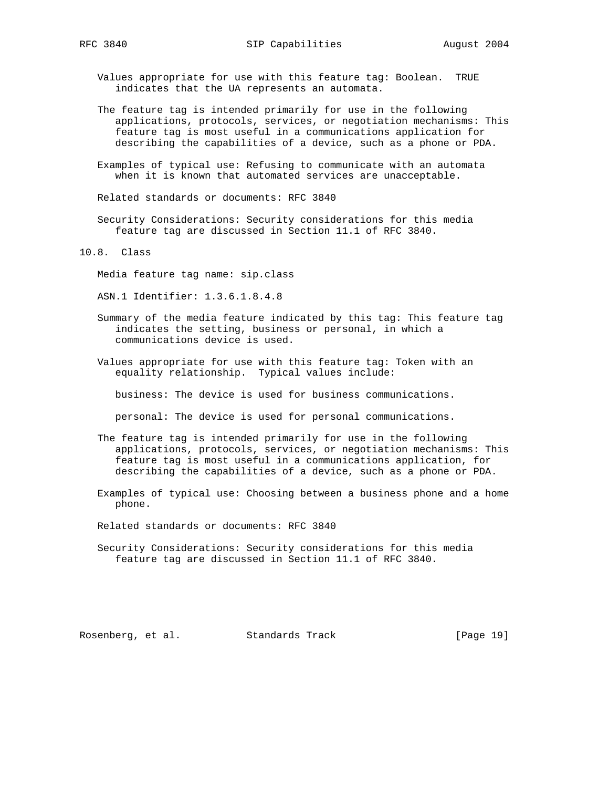Values appropriate for use with this feature tag: Boolean. TRUE indicates that the UA represents an automata.

- The feature tag is intended primarily for use in the following applications, protocols, services, or negotiation mechanisms: This feature tag is most useful in a communications application for describing the capabilities of a device, such as a phone or PDA.
- Examples of typical use: Refusing to communicate with an automata when it is known that automated services are unacceptable.

Related standards or documents: RFC 3840

 Security Considerations: Security considerations for this media feature tag are discussed in Section 11.1 of RFC 3840.

10.8. Class

Media feature tag name: sip.class

ASN.1 Identifier: 1.3.6.1.8.4.8

- Summary of the media feature indicated by this tag: This feature tag indicates the setting, business or personal, in which a communications device is used.
- Values appropriate for use with this feature tag: Token with an equality relationship. Typical values include:

business: The device is used for business communications.

personal: The device is used for personal communications.

- The feature tag is intended primarily for use in the following applications, protocols, services, or negotiation mechanisms: This feature tag is most useful in a communications application, for describing the capabilities of a device, such as a phone or PDA.
- Examples of typical use: Choosing between a business phone and a home phone.

Related standards or documents: RFC 3840

 Security Considerations: Security considerations for this media feature tag are discussed in Section 11.1 of RFC 3840.

Rosenberg, et al. Standards Track [Page 19]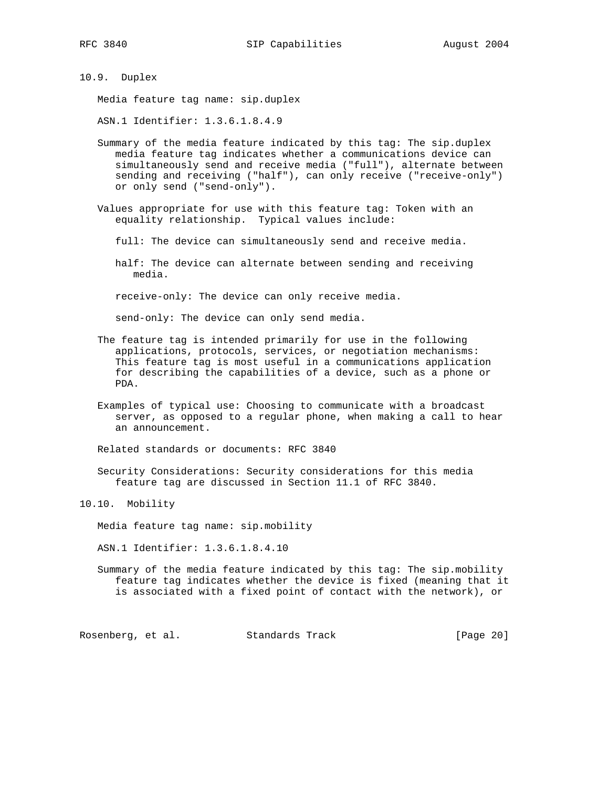10.9. Duplex

Media feature tag name: sip.duplex

ASN.1 Identifier: 1.3.6.1.8.4.9

- Summary of the media feature indicated by this tag: The sip.duplex media feature tag indicates whether a communications device can simultaneously send and receive media ("full"), alternate between sending and receiving ("half"), can only receive ("receive-only") or only send ("send-only").
- Values appropriate for use with this feature tag: Token with an equality relationship. Typical values include:
	- full: The device can simultaneously send and receive media.
	- half: The device can alternate between sending and receiving media.

receive-only: The device can only receive media.

send-only: The device can only send media.

- The feature tag is intended primarily for use in the following applications, protocols, services, or negotiation mechanisms: This feature tag is most useful in a communications application for describing the capabilities of a device, such as a phone or PDA.
- Examples of typical use: Choosing to communicate with a broadcast server, as opposed to a regular phone, when making a call to hear an announcement.

Related standards or documents: RFC 3840

 Security Considerations: Security considerations for this media feature tag are discussed in Section 11.1 of RFC 3840.

10.10. Mobility

Media feature tag name: sip.mobility

ASN.1 Identifier: 1.3.6.1.8.4.10

 Summary of the media feature indicated by this tag: The sip.mobility feature tag indicates whether the device is fixed (meaning that it is associated with a fixed point of contact with the network), or

Rosenberg, et al. Standards Track [Page 20]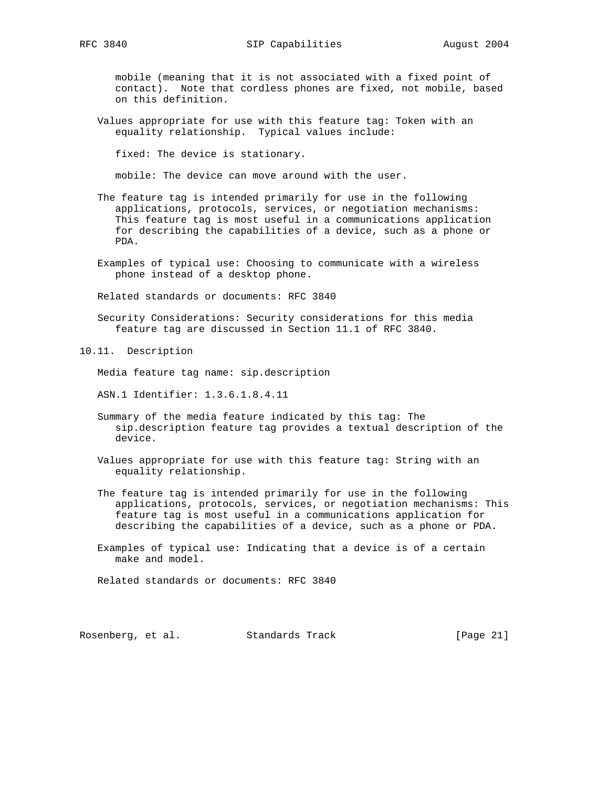mobile (meaning that it is not associated with a fixed point of contact). Note that cordless phones are fixed, not mobile, based on this definition.

 Values appropriate for use with this feature tag: Token with an equality relationship. Typical values include:

fixed: The device is stationary.

mobile: The device can move around with the user.

- The feature tag is intended primarily for use in the following applications, protocols, services, or negotiation mechanisms: This feature tag is most useful in a communications application for describing the capabilities of a device, such as a phone or PDA.
- Examples of typical use: Choosing to communicate with a wireless phone instead of a desktop phone.

Related standards or documents: RFC 3840

- Security Considerations: Security considerations for this media feature tag are discussed in Section 11.1 of RFC 3840.
- 10.11. Description

Media feature tag name: sip.description

- ASN.1 Identifier: 1.3.6.1.8.4.11
- Summary of the media feature indicated by this tag: The sip.description feature tag provides a textual description of the device.
- Values appropriate for use with this feature tag: String with an equality relationship.
- The feature tag is intended primarily for use in the following applications, protocols, services, or negotiation mechanisms: This feature tag is most useful in a communications application for describing the capabilities of a device, such as a phone or PDA.
- Examples of typical use: Indicating that a device is of a certain make and model.

Related standards or documents: RFC 3840

Rosenberg, et al. Standards Track [Page 21]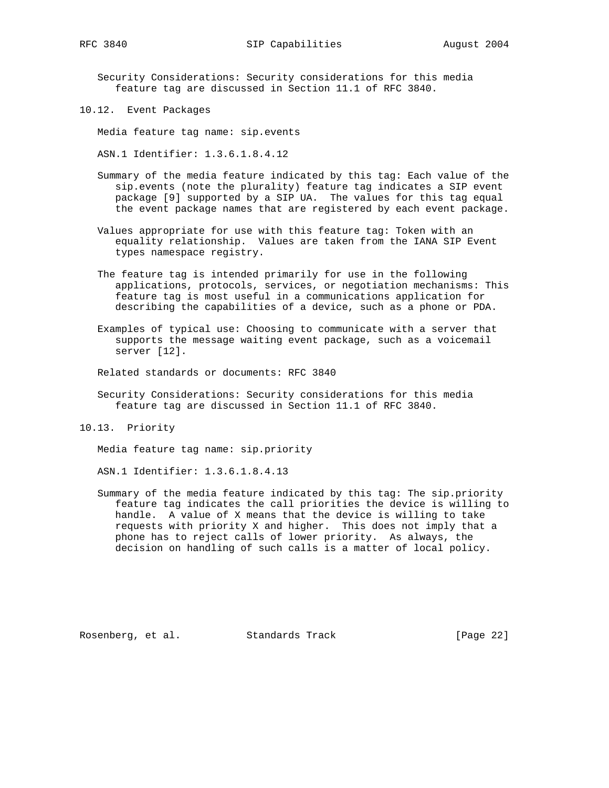Security Considerations: Security considerations for this media feature tag are discussed in Section 11.1 of RFC 3840.

10.12. Event Packages

Media feature tag name: sip.events

ASN.1 Identifier: 1.3.6.1.8.4.12

- Summary of the media feature indicated by this tag: Each value of the sip.events (note the plurality) feature tag indicates a SIP event package [9] supported by a SIP UA. The values for this tag equal the event package names that are registered by each event package.
- Values appropriate for use with this feature tag: Token with an equality relationship. Values are taken from the IANA SIP Event types namespace registry.
- The feature tag is intended primarily for use in the following applications, protocols, services, or negotiation mechanisms: This feature tag is most useful in a communications application for describing the capabilities of a device, such as a phone or PDA.
- Examples of typical use: Choosing to communicate with a server that supports the message waiting event package, such as a voicemail server [12].

Related standards or documents: RFC 3840

- Security Considerations: Security considerations for this media feature tag are discussed in Section 11.1 of RFC 3840.
- 10.13. Priority

Media feature tag name: sip.priority

ASN.1 Identifier: 1.3.6.1.8.4.13

 Summary of the media feature indicated by this tag: The sip.priority feature tag indicates the call priorities the device is willing to handle. A value of X means that the device is willing to take requests with priority X and higher. This does not imply that a phone has to reject calls of lower priority. As always, the decision on handling of such calls is a matter of local policy.

Rosenberg, et al. Standards Track [Page 22]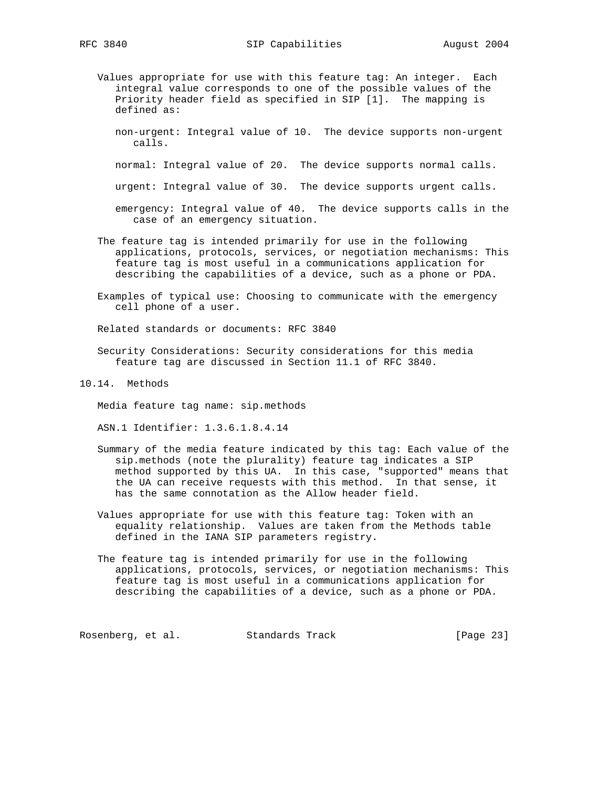- Values appropriate for use with this feature tag: An integer. Each integral value corresponds to one of the possible values of the Priority header field as specified in SIP [1]. The mapping is defined as:
	- non-urgent: Integral value of 10. The device supports non-urgent calls.

normal: Integral value of 20. The device supports normal calls.

urgent: Integral value of 30. The device supports urgent calls.

- emergency: Integral value of 40. The device supports calls in the case of an emergency situation.
- The feature tag is intended primarily for use in the following applications, protocols, services, or negotiation mechanisms: This feature tag is most useful in a communications application for describing the capabilities of a device, such as a phone or PDA.
- Examples of typical use: Choosing to communicate with the emergency cell phone of a user.

Related standards or documents: RFC 3840

- Security Considerations: Security considerations for this media feature tag are discussed in Section 11.1 of RFC 3840.
- 10.14. Methods

Media feature tag name: sip.methods

ASN.1 Identifier: 1.3.6.1.8.4.14

- Summary of the media feature indicated by this tag: Each value of the sip.methods (note the plurality) feature tag indicates a SIP method supported by this UA. In this case, "supported" means that the UA can receive requests with this method. In that sense, it has the same connotation as the Allow header field.
- Values appropriate for use with this feature tag: Token with an equality relationship. Values are taken from the Methods table defined in the IANA SIP parameters registry.
- The feature tag is intended primarily for use in the following applications, protocols, services, or negotiation mechanisms: This feature tag is most useful in a communications application for describing the capabilities of a device, such as a phone or PDA.

Rosenberg, et al. Standards Track [Page 23]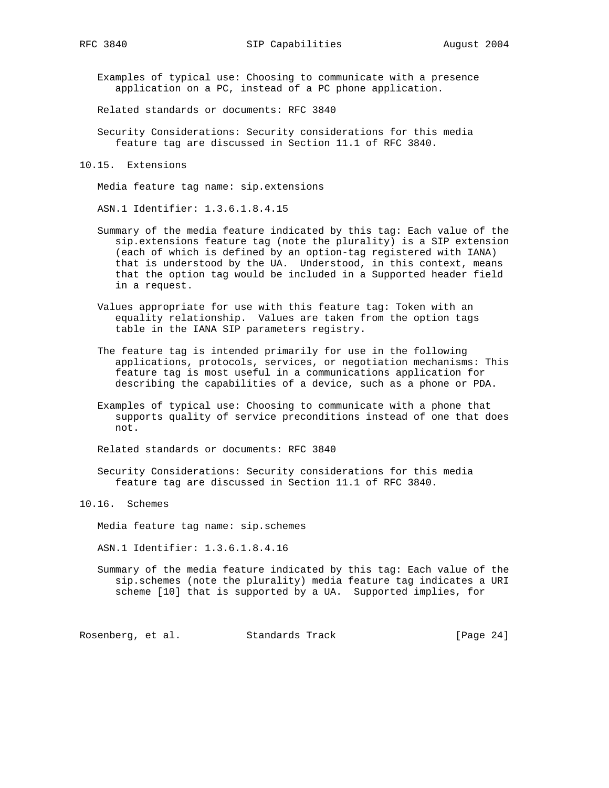Examples of typical use: Choosing to communicate with a presence application on a PC, instead of a PC phone application.

Related standards or documents: RFC 3840

- Security Considerations: Security considerations for this media feature tag are discussed in Section 11.1 of RFC 3840.
- 10.15. Extensions

Media feature tag name: sip.extensions

ASN.1 Identifier: 1.3.6.1.8.4.15

- Summary of the media feature indicated by this tag: Each value of the sip.extensions feature tag (note the plurality) is a SIP extension (each of which is defined by an option-tag registered with IANA) that is understood by the UA. Understood, in this context, means that the option tag would be included in a Supported header field in a request.
- Values appropriate for use with this feature tag: Token with an equality relationship. Values are taken from the option tags table in the IANA SIP parameters registry.
- The feature tag is intended primarily for use in the following applications, protocols, services, or negotiation mechanisms: This feature tag is most useful in a communications application for describing the capabilities of a device, such as a phone or PDA.
- Examples of typical use: Choosing to communicate with a phone that supports quality of service preconditions instead of one that does not.

Related standards or documents: RFC 3840

 Security Considerations: Security considerations for this media feature tag are discussed in Section 11.1 of RFC 3840.

10.16. Schemes

Media feature tag name: sip.schemes

ASN.1 Identifier: 1.3.6.1.8.4.16

 Summary of the media feature indicated by this tag: Each value of the sip.schemes (note the plurality) media feature tag indicates a URI scheme [10] that is supported by a UA. Supported implies, for

Rosenberg, et al. Standards Track [Page 24]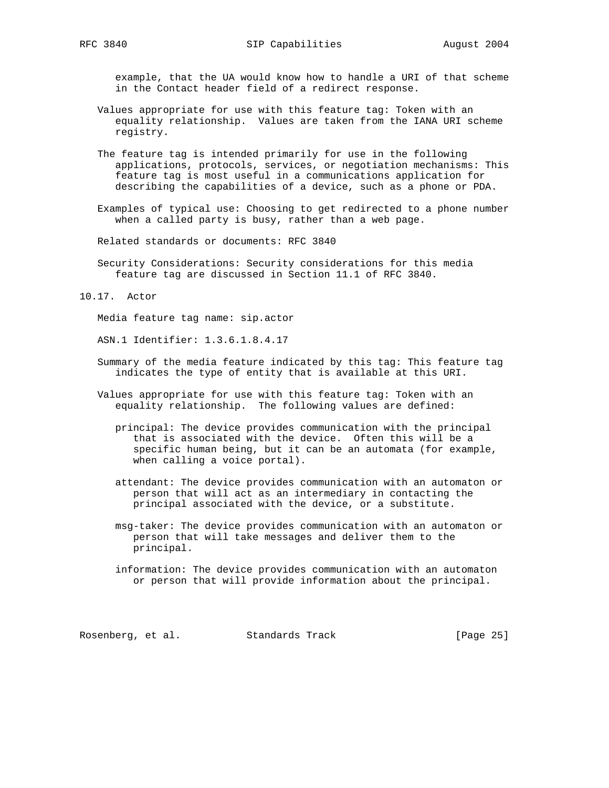example, that the UA would know how to handle a URI of that scheme in the Contact header field of a redirect response.

- Values appropriate for use with this feature tag: Token with an equality relationship. Values are taken from the IANA URI scheme registry.
- The feature tag is intended primarily for use in the following applications, protocols, services, or negotiation mechanisms: This feature tag is most useful in a communications application for describing the capabilities of a device, such as a phone or PDA.
- Examples of typical use: Choosing to get redirected to a phone number when a called party is busy, rather than a web page.

Related standards or documents: RFC 3840

- Security Considerations: Security considerations for this media feature tag are discussed in Section 11.1 of RFC 3840.
- 10.17. Actor

Media feature tag name: sip.actor

ASN.1 Identifier: 1.3.6.1.8.4.17

- Summary of the media feature indicated by this tag: This feature tag indicates the type of entity that is available at this URI.
- Values appropriate for use with this feature tag: Token with an equality relationship. The following values are defined:
	- principal: The device provides communication with the principal that is associated with the device. Often this will be a specific human being, but it can be an automata (for example, when calling a voice portal).
	- attendant: The device provides communication with an automaton or person that will act as an intermediary in contacting the principal associated with the device, or a substitute.
	- msg-taker: The device provides communication with an automaton or person that will take messages and deliver them to the principal.
	- information: The device provides communication with an automaton or person that will provide information about the principal.

Rosenberg, et al. Standards Track [Page 25]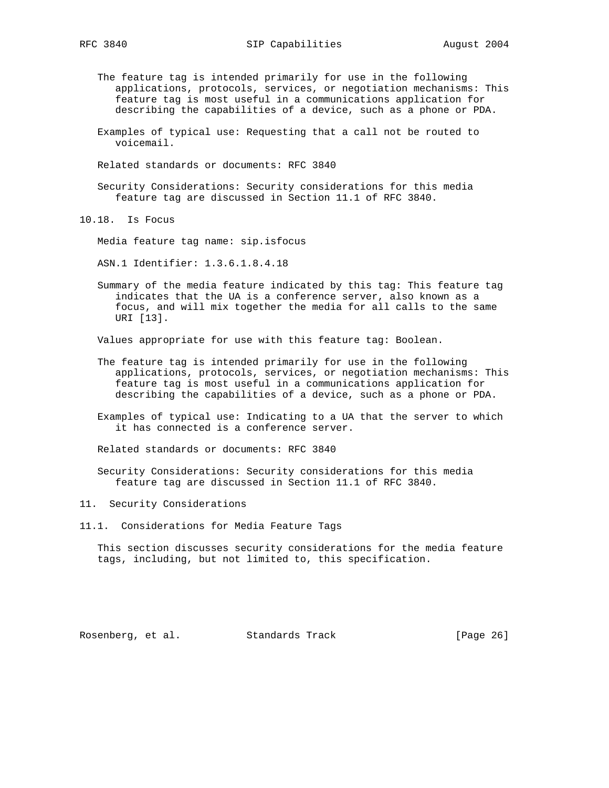- The feature tag is intended primarily for use in the following applications, protocols, services, or negotiation mechanisms: This feature tag is most useful in a communications application for describing the capabilities of a device, such as a phone or PDA.
- Examples of typical use: Requesting that a call not be routed to voicemail.
- Related standards or documents: RFC 3840
- Security Considerations: Security considerations for this media feature tag are discussed in Section 11.1 of RFC 3840.

10.18. Is Focus

Media feature tag name: sip.isfocus

ASN.1 Identifier: 1.3.6.1.8.4.18

 Summary of the media feature indicated by this tag: This feature tag indicates that the UA is a conference server, also known as a focus, and will mix together the media for all calls to the same URI [13].

Values appropriate for use with this feature tag: Boolean.

- The feature tag is intended primarily for use in the following applications, protocols, services, or negotiation mechanisms: This feature tag is most useful in a communications application for describing the capabilities of a device, such as a phone or PDA.
- Examples of typical use: Indicating to a UA that the server to which it has connected is a conference server.

Related standards or documents: RFC 3840

 Security Considerations: Security considerations for this media feature tag are discussed in Section 11.1 of RFC 3840.

11. Security Considerations

11.1. Considerations for Media Feature Tags

 This section discusses security considerations for the media feature tags, including, but not limited to, this specification.

Rosenberg, et al. Standards Track [Page 26]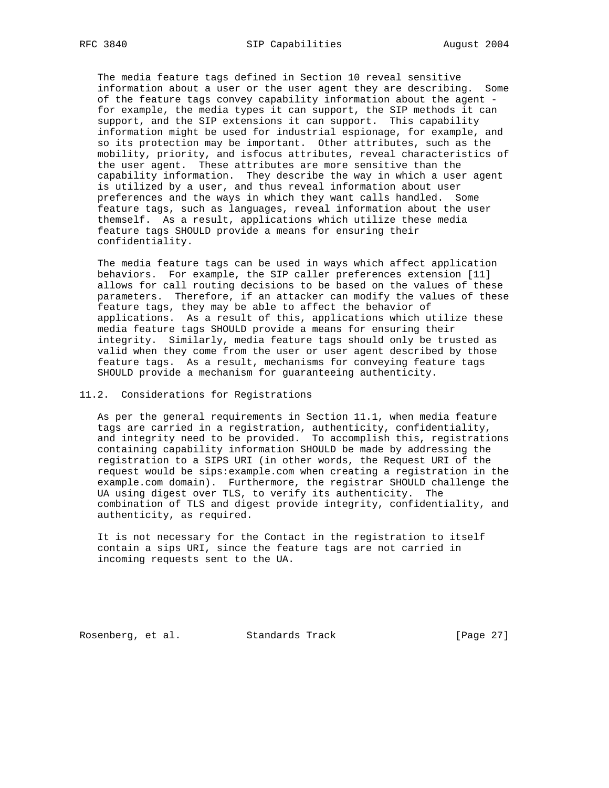The media feature tags defined in Section 10 reveal sensitive information about a user or the user agent they are describing. Some of the feature tags convey capability information about the agent for example, the media types it can support, the SIP methods it can support, and the SIP extensions it can support. This capability information might be used for industrial espionage, for example, and so its protection may be important. Other attributes, such as the mobility, priority, and isfocus attributes, reveal characteristics of the user agent. These attributes are more sensitive than the capability information. They describe the way in which a user agent is utilized by a user, and thus reveal information about user preferences and the ways in which they want calls handled. Some feature tags, such as languages, reveal information about the user themself. As a result, applications which utilize these media feature tags SHOULD provide a means for ensuring their confidentiality.

 The media feature tags can be used in ways which affect application behaviors. For example, the SIP caller preferences extension [11] allows for call routing decisions to be based on the values of these parameters. Therefore, if an attacker can modify the values of these feature tags, they may be able to affect the behavior of applications. As a result of this, applications which utilize these media feature tags SHOULD provide a means for ensuring their integrity. Similarly, media feature tags should only be trusted as valid when they come from the user or user agent described by those feature tags. As a result, mechanisms for conveying feature tags SHOULD provide a mechanism for guaranteeing authenticity.

### 11.2. Considerations for Registrations

 As per the general requirements in Section 11.1, when media feature tags are carried in a registration, authenticity, confidentiality, and integrity need to be provided. To accomplish this, registrations containing capability information SHOULD be made by addressing the registration to a SIPS URI (in other words, the Request URI of the request would be sips:example.com when creating a registration in the example.com domain). Furthermore, the registrar SHOULD challenge the UA using digest over TLS, to verify its authenticity. The combination of TLS and digest provide integrity, confidentiality, and authenticity, as required.

 It is not necessary for the Contact in the registration to itself contain a sips URI, since the feature tags are not carried in incoming requests sent to the UA.

Rosenberg, et al. Standards Track [Page 27]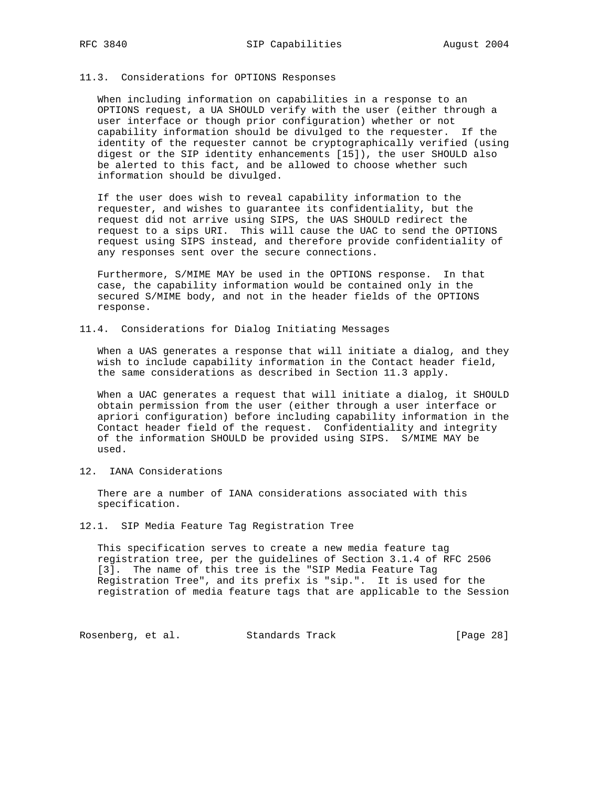# 11.3. Considerations for OPTIONS Responses

 When including information on capabilities in a response to an OPTIONS request, a UA SHOULD verify with the user (either through a user interface or though prior configuration) whether or not capability information should be divulged to the requester. If the identity of the requester cannot be cryptographically verified (using digest or the SIP identity enhancements [15]), the user SHOULD also be alerted to this fact, and be allowed to choose whether such information should be divulged.

 If the user does wish to reveal capability information to the requester, and wishes to guarantee its confidentiality, but the request did not arrive using SIPS, the UAS SHOULD redirect the request to a sips URI. This will cause the UAC to send the OPTIONS request using SIPS instead, and therefore provide confidentiality of any responses sent over the secure connections.

 Furthermore, S/MIME MAY be used in the OPTIONS response. In that case, the capability information would be contained only in the secured S/MIME body, and not in the header fields of the OPTIONS response.

11.4. Considerations for Dialog Initiating Messages

 When a UAS generates a response that will initiate a dialog, and they wish to include capability information in the Contact header field, the same considerations as described in Section 11.3 apply.

When a UAC generates a request that will initiate a dialog, it SHOULD obtain permission from the user (either through a user interface or apriori configuration) before including capability information in the Contact header field of the request. Confidentiality and integrity of the information SHOULD be provided using SIPS. S/MIME MAY be used.

12. IANA Considerations

 There are a number of IANA considerations associated with this specification.

12.1. SIP Media Feature Tag Registration Tree

 This specification serves to create a new media feature tag registration tree, per the guidelines of Section 3.1.4 of RFC 2506 [3]. The name of this tree is the "SIP Media Feature Tag Registration Tree", and its prefix is "sip.". It is used for the registration of media feature tags that are applicable to the Session

Rosenberg, et al. Standards Track [Page 28]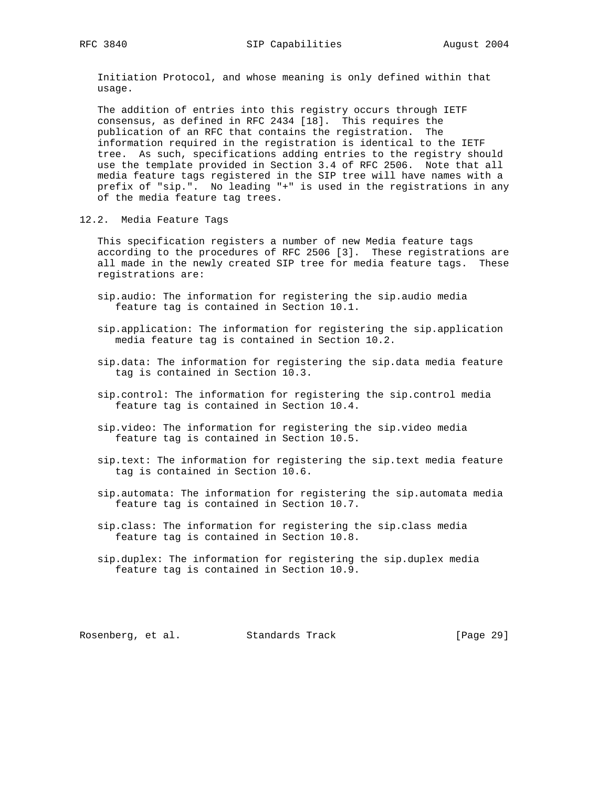Initiation Protocol, and whose meaning is only defined within that usage.

 The addition of entries into this registry occurs through IETF consensus, as defined in RFC 2434 [18]. This requires the publication of an RFC that contains the registration. The information required in the registration is identical to the IETF tree. As such, specifications adding entries to the registry should use the template provided in Section 3.4 of RFC 2506. Note that all media feature tags registered in the SIP tree will have names with a prefix of "sip.". No leading "+" is used in the registrations in any of the media feature tag trees.

12.2. Media Feature Tags

 This specification registers a number of new Media feature tags according to the procedures of RFC 2506 [3]. These registrations are all made in the newly created SIP tree for media feature tags. These registrations are:

- sip.audio: The information for registering the sip.audio media feature tag is contained in Section 10.1.
- sip.application: The information for registering the sip.application media feature tag is contained in Section 10.2.
- sip.data: The information for registering the sip.data media feature tag is contained in Section 10.3.
- sip.control: The information for registering the sip.control media feature tag is contained in Section 10.4.
- sip.video: The information for registering the sip.video media feature tag is contained in Section 10.5.
- sip.text: The information for registering the sip.text media feature tag is contained in Section 10.6.
- sip.automata: The information for registering the sip.automata media feature tag is contained in Section 10.7.
- sip.class: The information for registering the sip.class media feature tag is contained in Section 10.8.
- sip.duplex: The information for registering the sip.duplex media feature tag is contained in Section 10.9.

Rosenberg, et al. Standards Track [Page 29]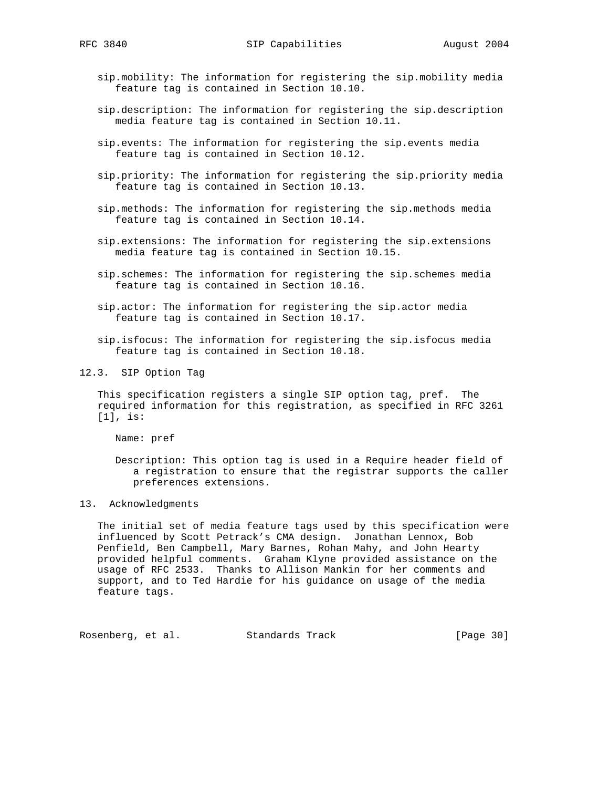- sip.mobility: The information for registering the sip.mobility media feature tag is contained in Section 10.10.
- sip.description: The information for registering the sip.description media feature tag is contained in Section 10.11.
- sip.events: The information for registering the sip.events media feature tag is contained in Section 10.12.
- sip.priority: The information for registering the sip.priority media feature tag is contained in Section 10.13.
- sip.methods: The information for registering the sip.methods media feature tag is contained in Section 10.14.
- sip.extensions: The information for registering the sip.extensions media feature tag is contained in Section 10.15.
- sip.schemes: The information for registering the sip.schemes media feature tag is contained in Section 10.16.
- sip.actor: The information for registering the sip.actor media feature tag is contained in Section 10.17.
- sip.isfocus: The information for registering the sip.isfocus media feature tag is contained in Section 10.18.
- 12.3. SIP Option Tag

 This specification registers a single SIP option tag, pref. The required information for this registration, as specified in RFC 3261 [1], is:

Name: pref

 Description: This option tag is used in a Require header field of a registration to ensure that the registrar supports the caller preferences extensions.

## 13. Acknowledgments

 The initial set of media feature tags used by this specification were influenced by Scott Petrack's CMA design. Jonathan Lennox, Bob Penfield, Ben Campbell, Mary Barnes, Rohan Mahy, and John Hearty provided helpful comments. Graham Klyne provided assistance on the usage of RFC 2533. Thanks to Allison Mankin for her comments and support, and to Ted Hardie for his guidance on usage of the media feature tags.

Rosenberg, et al. Standards Track [Page 30]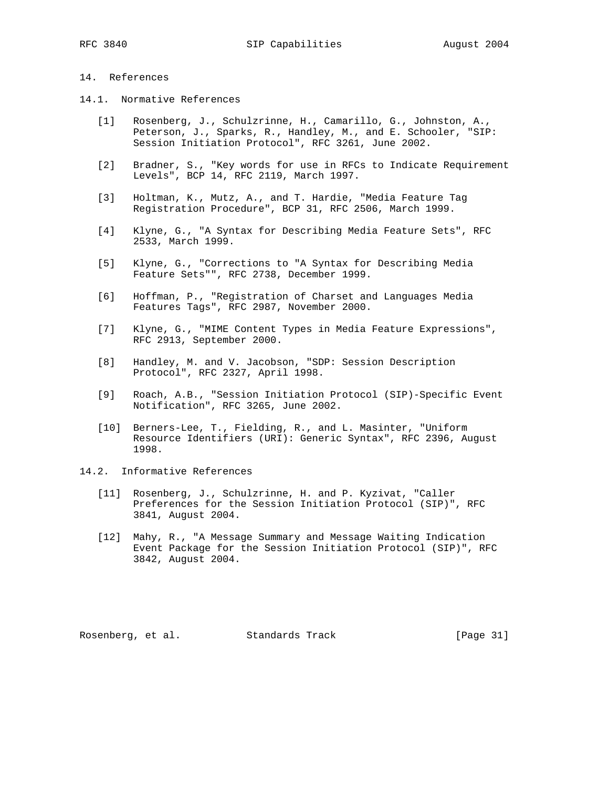# 14. References

- 14.1. Normative References
	- [1] Rosenberg, J., Schulzrinne, H., Camarillo, G., Johnston, A., Peterson, J., Sparks, R., Handley, M., and E. Schooler, "SIP: Session Initiation Protocol", RFC 3261, June 2002.
	- [2] Bradner, S., "Key words for use in RFCs to Indicate Requirement Levels", BCP 14, RFC 2119, March 1997.
	- [3] Holtman, K., Mutz, A., and T. Hardie, "Media Feature Tag Registration Procedure", BCP 31, RFC 2506, March 1999.
	- [4] Klyne, G., "A Syntax for Describing Media Feature Sets", RFC 2533, March 1999.
	- [5] Klyne, G., "Corrections to "A Syntax for Describing Media Feature Sets"", RFC 2738, December 1999.
	- [6] Hoffman, P., "Registration of Charset and Languages Media Features Tags", RFC 2987, November 2000.
	- [7] Klyne, G., "MIME Content Types in Media Feature Expressions", RFC 2913, September 2000.
	- [8] Handley, M. and V. Jacobson, "SDP: Session Description Protocol", RFC 2327, April 1998.
	- [9] Roach, A.B., "Session Initiation Protocol (SIP)-Specific Event Notification", RFC 3265, June 2002.
	- [10] Berners-Lee, T., Fielding, R., and L. Masinter, "Uniform Resource Identifiers (URI): Generic Syntax", RFC 2396, August 1998.
- 14.2. Informative References
	- [11] Rosenberg, J., Schulzrinne, H. and P. Kyzivat, "Caller Preferences for the Session Initiation Protocol (SIP)", RFC 3841, August 2004.
	- [12] Mahy, R., "A Message Summary and Message Waiting Indication Event Package for the Session Initiation Protocol (SIP)", RFC 3842, August 2004.

Rosenberg, et al. Standards Track [Page 31]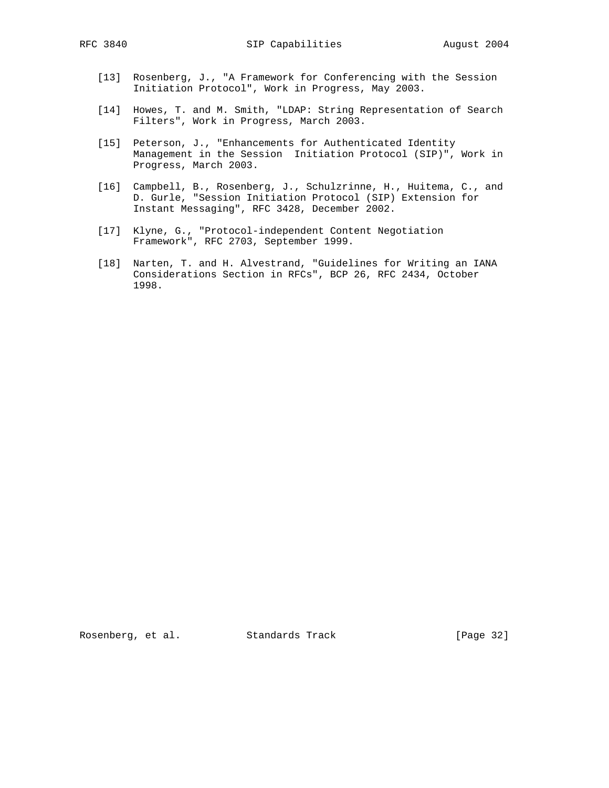- [13] Rosenberg, J., "A Framework for Conferencing with the Session Initiation Protocol", Work in Progress, May 2003.
- [14] Howes, T. and M. Smith, "LDAP: String Representation of Search Filters", Work in Progress, March 2003.
- [15] Peterson, J., "Enhancements for Authenticated Identity Management in the Session Initiation Protocol (SIP)", Work in Progress, March 2003.
- [16] Campbell, B., Rosenberg, J., Schulzrinne, H., Huitema, C., and D. Gurle, "Session Initiation Protocol (SIP) Extension for Instant Messaging", RFC 3428, December 2002.
- [17] Klyne, G., "Protocol-independent Content Negotiation Framework", RFC 2703, September 1999.
	- [18] Narten, T. and H. Alvestrand, "Guidelines for Writing an IANA Considerations Section in RFCs", BCP 26, RFC 2434, October 1998.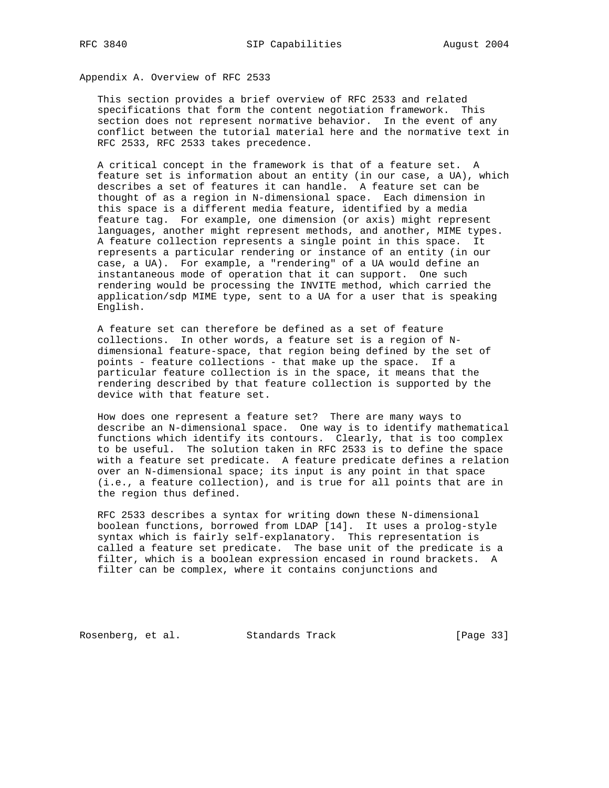Appendix A. Overview of RFC 2533

 This section provides a brief overview of RFC 2533 and related specifications that form the content negotiation framework. This section does not represent normative behavior. In the event of any conflict between the tutorial material here and the normative text in RFC 2533, RFC 2533 takes precedence.

 A critical concept in the framework is that of a feature set. A feature set is information about an entity (in our case, a UA), which describes a set of features it can handle. A feature set can be thought of as a region in N-dimensional space. Each dimension in this space is a different media feature, identified by a media feature tag. For example, one dimension (or axis) might represent languages, another might represent methods, and another, MIME types. A feature collection represents a single point in this space. It represents a particular rendering or instance of an entity (in our case, a UA). For example, a "rendering" of a UA would define an instantaneous mode of operation that it can support. One such rendering would be processing the INVITE method, which carried the application/sdp MIME type, sent to a UA for a user that is speaking English.

 A feature set can therefore be defined as a set of feature collections. In other words, a feature set is a region of N dimensional feature-space, that region being defined by the set of points - feature collections - that make up the space. If a particular feature collection is in the space, it means that the rendering described by that feature collection is supported by the device with that feature set.

 How does one represent a feature set? There are many ways to describe an N-dimensional space. One way is to identify mathematical functions which identify its contours. Clearly, that is too complex to be useful. The solution taken in RFC 2533 is to define the space with a feature set predicate. A feature predicate defines a relation over an N-dimensional space; its input is any point in that space (i.e., a feature collection), and is true for all points that are in the region thus defined.

 RFC 2533 describes a syntax for writing down these N-dimensional boolean functions, borrowed from LDAP [14]. It uses a prolog-style syntax which is fairly self-explanatory. This representation is called a feature set predicate. The base unit of the predicate is a filter, which is a boolean expression encased in round brackets. A filter can be complex, where it contains conjunctions and

Rosenberg, et al. Standards Track [Page 33]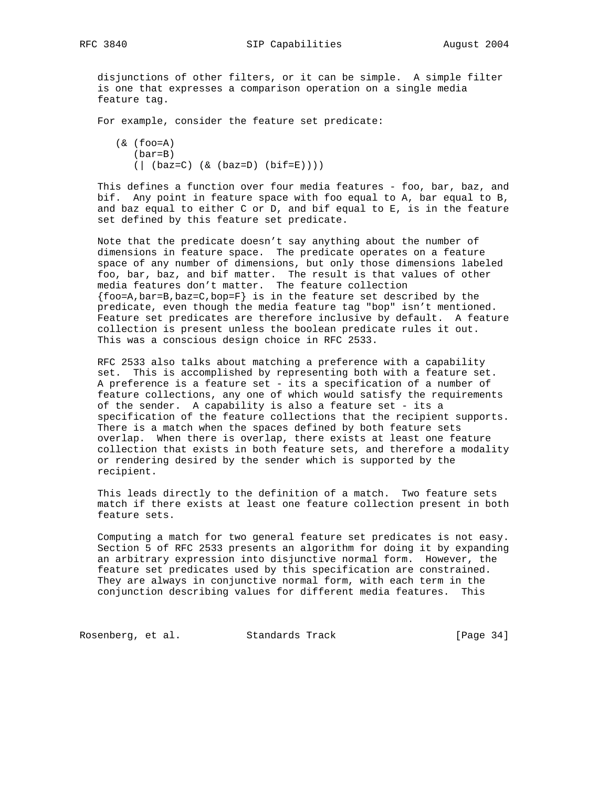disjunctions of other filters, or it can be simple. A simple filter is one that expresses a comparison operation on a single media feature tag.

For example, consider the feature set predicate:

 $(\&$  (foo=A) (bar=B)  $(|$  (baz=C) (& (baz=D) (bif=E))))

 This defines a function over four media features - foo, bar, baz, and bif. Any point in feature space with foo equal to A, bar equal to B, and baz equal to either C or D, and bif equal to E, is in the feature set defined by this feature set predicate.

 Note that the predicate doesn't say anything about the number of dimensions in feature space. The predicate operates on a feature space of any number of dimensions, but only those dimensions labeled foo, bar, baz, and bif matter. The result is that values of other media features don't matter. The feature collection  $\{foo=A,bar=B,baz=C,bop=F\}$  is in the feature set described by the predicate, even though the media feature tag "bop" isn't mentioned. Feature set predicates are therefore inclusive by default. A feature collection is present unless the boolean predicate rules it out. This was a conscious design choice in RFC 2533.

 RFC 2533 also talks about matching a preference with a capability set. This is accomplished by representing both with a feature set. A preference is a feature set - its a specification of a number of feature collections, any one of which would satisfy the requirements of the sender. A capability is also a feature set - its a specification of the feature collections that the recipient supports. There is a match when the spaces defined by both feature sets overlap. When there is overlap, there exists at least one feature collection that exists in both feature sets, and therefore a modality or rendering desired by the sender which is supported by the recipient.

 This leads directly to the definition of a match. Two feature sets match if there exists at least one feature collection present in both feature sets.

 Computing a match for two general feature set predicates is not easy. Section 5 of RFC 2533 presents an algorithm for doing it by expanding an arbitrary expression into disjunctive normal form. However, the feature set predicates used by this specification are constrained. They are always in conjunctive normal form, with each term in the conjunction describing values for different media features. This

Rosenberg, et al. Standards Track [Page 34]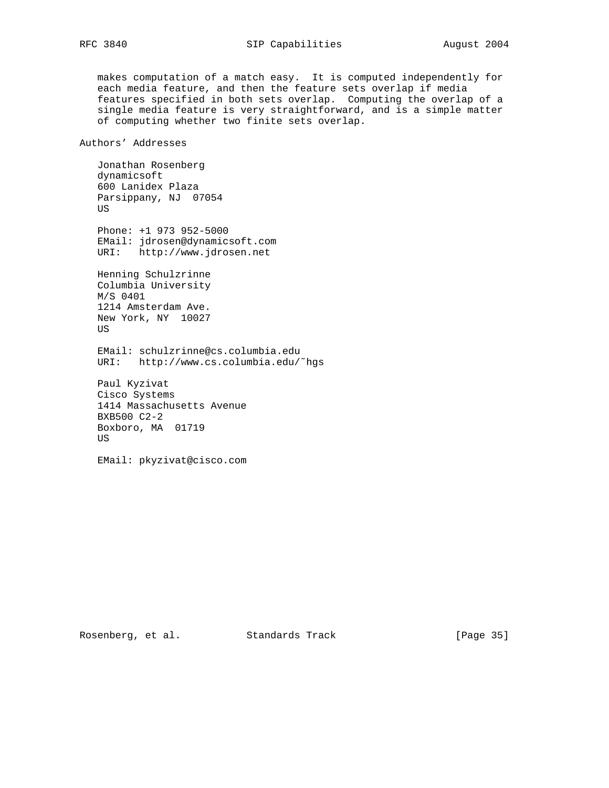makes computation of a match easy. It is computed independently for each media feature, and then the feature sets overlap if media features specified in both sets overlap. Computing the overlap of a single media feature is very straightforward, and is a simple matter of computing whether two finite sets overlap.

Authors' Addresses

 Jonathan Rosenberg dynamicsoft 600 Lanidex Plaza Parsippany, NJ 07054 US

 Phone: +1 973 952-5000 EMail: jdrosen@dynamicsoft.com URI: http://www.jdrosen.net

 Henning Schulzrinne Columbia University M/S 0401 1214 Amsterdam Ave. New York, NY 10027 US

 EMail: schulzrinne@cs.columbia.edu URI: http://www.cs.columbia.edu/˜hgs

 Paul Kyzivat Cisco Systems 1414 Massachusetts Avenue BXB500 C2-2 Boxboro, MA 01719 US

EMail: pkyzivat@cisco.com

Rosenberg, et al. Standards Track [Page 35]